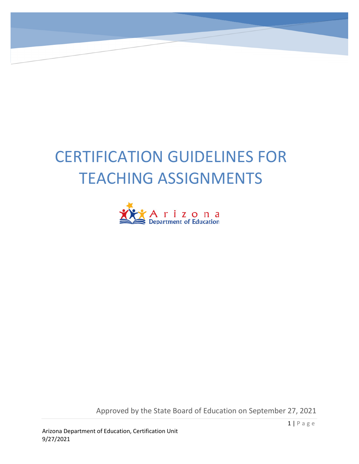# CERTIFICATION GUIDELINES FOR TEACHING ASSIGNMENTS



Approved by the State Board of Education on September 27, 2021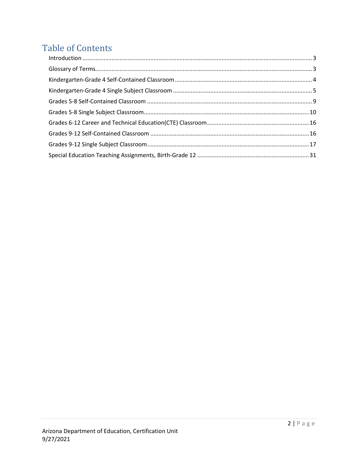# **Table of Contents**

| $\label{eq:interoduction} \mbox{Introduction} \,\, \ldots \,\, \ldots \,\, \ldots \,\, \ldots \,\, \ldots \,\, \ldots \,\, \ldots \,\, \ldots \,\, \ldots \,\, \ldots \,\, \ldots \,\, \ldots \,\, \ldots \,\, \ldots \,\, \ldots \,\, \ldots \,\, \ldots \,\, \ldots \,\, \ldots \,\, \ldots \,\, \ldots \,\, \ldots \,\, \ldots \,\, \ldots \,\, \ldots \,\, \ldots \,\, \ldots \,\, \ldots \,\, \ldots \,\, \ldots \,\, \ldots \,\, \ldots \,\, \ldots \,\, \ldots \$ |  |
|--------------------------------------------------------------------------------------------------------------------------------------------------------------------------------------------------------------------------------------------------------------------------------------------------------------------------------------------------------------------------------------------------------------------------------------------------------------------------|--|
|                                                                                                                                                                                                                                                                                                                                                                                                                                                                          |  |
|                                                                                                                                                                                                                                                                                                                                                                                                                                                                          |  |
|                                                                                                                                                                                                                                                                                                                                                                                                                                                                          |  |
|                                                                                                                                                                                                                                                                                                                                                                                                                                                                          |  |
|                                                                                                                                                                                                                                                                                                                                                                                                                                                                          |  |
|                                                                                                                                                                                                                                                                                                                                                                                                                                                                          |  |
|                                                                                                                                                                                                                                                                                                                                                                                                                                                                          |  |
|                                                                                                                                                                                                                                                                                                                                                                                                                                                                          |  |
|                                                                                                                                                                                                                                                                                                                                                                                                                                                                          |  |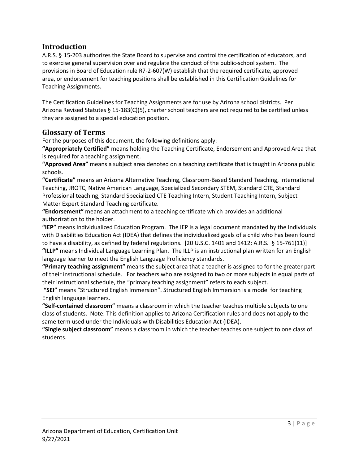#### <span id="page-2-0"></span>**Introduction**

A.R.S. § 15-203 authorizes the State Board to supervise and control the certification of educators, and to exercise general supervision over and regulate the conduct of the public-school system. The provisions in Board of Education rule R7-2-607(W) establish that the required certificate, approved area, or endorsement for teaching positions shall be established in this Certification Guidelines for Teaching Assignments.

The Certification Guidelines for Teaching Assignments are for use by Arizona school districts. Per Arizona Revised Statutes § 15-183(C)(5), charter school teachers are not required to be certified unless they are assigned to a special education position.

#### <span id="page-2-1"></span>**Glossary of Terms**

For the purposes of this document, the following definitions apply:

**"Appropriately Certified"** means holding the Teaching Certificate, Endorsement and Approved Area that is required for a teaching assignment.

**"Approved Area"** means a subject area denoted on a teaching certificate that is taught in Arizona public schools.

**"Certificate"** means an Arizona Alternative Teaching, Classroom-Based Standard Teaching, International Teaching, JROTC, Native American Language, Specialized Secondary STEM, Standard CTE, Standard Professional teaching, Standard Specialized CTE Teaching Intern, Student Teaching Intern, Subject Matter Expert Standard Teaching certificate.

**"Endorsement"** means an attachment to a teaching certificate which provides an additional authorization to the holder.

**"IEP"** means Individualized Education Program. The IEP is a legal document mandated by the Individuals with Disabilities Education Act (IDEA) that defines the individualized goals of a child who has been found to have a disability, as defined by federal regulations. [20 U.S.C. 1401 and 1412; A.R.S. § 15-761(11)] **"ILLP"** means Individual Language Learning Plan. The ILLP is an instructional plan written for an English language learner to meet the English Language Proficiency standards.

**"Primary teaching assignment"** means the subject area that a teacher is assigned to for the greater part of their instructional schedule. For teachers who are assigned to two or more subjects in equal parts of their instructional schedule, the "primary teaching assignment" refers to each subject.

**"SEI"** means "Structured English Immersion". Structured English Immersion is a model for teaching English language learners.

**"Self-contained classroom"** means a classroom in which the teacher teaches multiple subjects to one class of students. Note: This definition applies to Arizona Certification rules and does not apply to the same term used under the Individuals with Disabilities Education Act (IDEA).

**"Single subject classroom"** means a classroom in which the teacher teaches one subject to one class of students.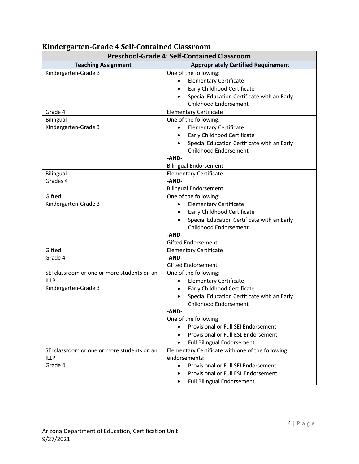| <b>Preschool-Grade 4: Self-Contained Classroom</b>                                 |                                                                                                                                                                                                                         |
|------------------------------------------------------------------------------------|-------------------------------------------------------------------------------------------------------------------------------------------------------------------------------------------------------------------------|
| <b>Teaching Assignment</b>                                                         | <b>Appropriately Certified Requirement</b>                                                                                                                                                                              |
| Kindergarten-Grade 3                                                               | One of the following:<br><b>Elementary Certificate</b><br>Early Childhood Certificate<br>$\bullet$<br>Special Education Certificate with an Early<br>Childhood Endorsement                                              |
| Grade 4                                                                            | <b>Elementary Certificate</b>                                                                                                                                                                                           |
| <b>Bilingual</b><br>Kindergarten-Grade 3                                           | One of the following:<br><b>Elementary Certificate</b><br>$\bullet$<br><b>Early Childhood Certificate</b><br>$\bullet$<br>Special Education Certificate with an Early<br><b>Childhood Endorsement</b><br>-AND-          |
|                                                                                    | <b>Bilingual Endorsement</b>                                                                                                                                                                                            |
| <b>Bilingual</b><br>Grades 4                                                       | <b>Elementary Certificate</b><br>-AND-<br><b>Bilingual Endorsement</b>                                                                                                                                                  |
| Gifted<br>Kindergarten-Grade 3                                                     | One of the following:<br><b>Elementary Certificate</b><br>Early Childhood Certificate<br>$\bullet$<br>Special Education Certificate with an Early<br><b>Childhood Endorsement</b><br>-AND-<br><b>Gifted Endorsement</b> |
| Gifted                                                                             | <b>Elementary Certificate</b>                                                                                                                                                                                           |
| Grade 4                                                                            | -AND-<br><b>Gifted Endorsement</b>                                                                                                                                                                                      |
| SEI classroom or one or more students on an<br><b>ILLP</b><br>Kindergarten-Grade 3 | One of the following:<br><b>Elementary Certificate</b><br>Early Childhood Certificate<br>$\bullet$<br>Special Education Certificate with an Early<br>$\bullet$<br>Childhood Endorsement<br>-AND-                        |
|                                                                                    | One of the following<br>Provisional or Full SEI Endorsement<br>Provisional or Full ESL Endorsement<br><b>Full Bilingual Endorsement</b><br>$\bullet$                                                                    |
| SEI classroom or one or more students on an<br><b>ILLP</b><br>Grade 4              | Elementary Certificate with one of the following<br>endorsements:<br>Provisional or Full SEI Endorsement<br>Provisional or Full ESL Endorsement<br><b>Full Bilingual Endorsement</b><br>٠                               |

# <span id="page-3-0"></span>**Kindergarten-Grade 4 Self-Contained Classroom**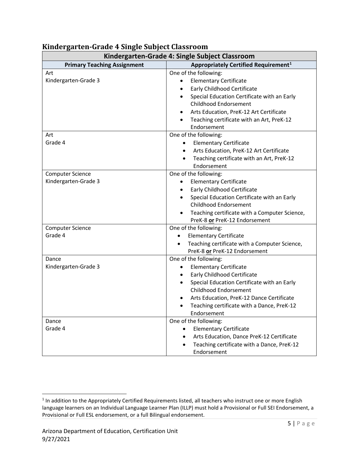| Kindergarten-Grade 4: Single Subject Classroom  |                                                                                                                                                                                                                                                                                                                             |
|-------------------------------------------------|-----------------------------------------------------------------------------------------------------------------------------------------------------------------------------------------------------------------------------------------------------------------------------------------------------------------------------|
| <b>Primary Teaching Assignment</b>              | Appropriately Certified Requirement <sup>1</sup>                                                                                                                                                                                                                                                                            |
| Art<br>Kindergarten-Grade 3                     | One of the following:<br><b>Elementary Certificate</b><br>$\bullet$<br>Early Childhood Certificate<br>Special Education Certificate with an Early<br>$\bullet$<br>Childhood Endorsement<br>Arts Education, PreK-12 Art Certificate<br>$\bullet$<br>Teaching certificate with an Art, PreK-12<br>$\bullet$                   |
| Art<br>Grade 4                                  | Endorsement<br>One of the following:<br><b>Elementary Certificate</b><br>$\bullet$<br>Arts Education, PreK-12 Art Certificate<br>$\bullet$<br>Teaching certificate with an Art, PreK-12<br>$\bullet$<br>Endorsement                                                                                                         |
| <b>Computer Science</b><br>Kindergarten-Grade 3 | One of the following:<br><b>Elementary Certificate</b><br>$\bullet$<br><b>Early Childhood Certificate</b><br>$\bullet$<br>Special Education Certificate with an Early<br>$\bullet$<br>Childhood Endorsement<br>Teaching certificate with a Computer Science,<br>PreK-8 or PreK-12 Endorsement                               |
| <b>Computer Science</b><br>Grade 4              | One of the following:<br><b>Elementary Certificate</b><br>Teaching certificate with a Computer Science,<br>PreK-8 or PreK-12 Endorsement                                                                                                                                                                                    |
| Dance<br>Kindergarten-Grade 3                   | One of the following:<br><b>Elementary Certificate</b><br>$\bullet$<br>Early Childhood Certificate<br>$\bullet$<br>Special Education Certificate with an Early<br>$\bullet$<br>Childhood Endorsement<br>Arts Education, PreK-12 Dance Certificate<br>$\bullet$<br>Teaching certificate with a Dance, PreK-12<br>Endorsement |
| Dance<br>Grade 4                                | One of the following:<br><b>Elementary Certificate</b><br>Arts Education, Dance PreK-12 Certificate<br>$\bullet$<br>Teaching certificate with a Dance, PreK-12<br>$\bullet$<br>Endorsement                                                                                                                                  |

### <span id="page-4-0"></span>**Kindergarten-Grade 4 Single Subject Classroom**

<span id="page-4-1"></span><sup>&</sup>lt;sup>1</sup> In addition to the Appropriately Certified Requirements listed, all teachers who instruct one or more English language learners on an Individual Language Learner Plan (ILLP) must hold a Provisional or Full SEI Endorsement, a Provisional or Full ESL endorsement, or a full Bilingual endorsement.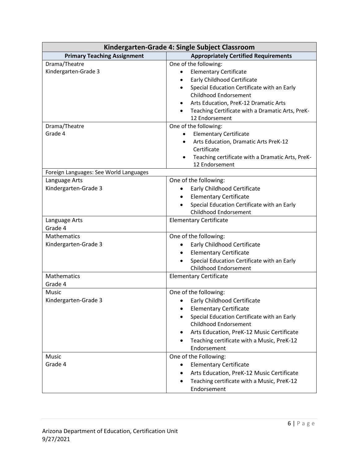| Kindergarten-Grade 4: Single Subject Classroom |                                                                                                                                                                                                                                                                                                        |
|------------------------------------------------|--------------------------------------------------------------------------------------------------------------------------------------------------------------------------------------------------------------------------------------------------------------------------------------------------------|
| <b>Primary Teaching Assignment</b>             | <b>Appropriately Certified Requirements</b>                                                                                                                                                                                                                                                            |
| Drama/Theatre<br>Kindergarten-Grade 3          | One of the following:<br><b>Elementary Certificate</b><br>$\bullet$<br>Early Childhood Certificate<br>$\bullet$<br>Special Education Certificate with an Early<br>Childhood Endorsement<br>Arts Education, PreK-12 Dramatic Arts<br>Teaching Certificate with a Dramatic Arts, PreK-<br>12 Endorsement |
| Drama/Theatre<br>Grade 4                       | One of the following:<br><b>Elementary Certificate</b><br>$\bullet$<br>Arts Education, Dramatic Arts PreK-12<br>Certificate<br>Teaching certificate with a Dramatic Arts, PreK-<br>12 Endorsement                                                                                                      |
| Foreign Languages: See World Languages         |                                                                                                                                                                                                                                                                                                        |
| Language Arts<br>Kindergarten-Grade 3          | One of the following:<br>Early Childhood Certificate<br>$\bullet$<br><b>Elementary Certificate</b><br>Special Education Certificate with an Early<br>Childhood Endorsement                                                                                                                             |
| Language Arts<br>Grade 4                       | <b>Elementary Certificate</b>                                                                                                                                                                                                                                                                          |
| <b>Mathematics</b><br>Kindergarten-Grade 3     | One of the following:<br>Early Childhood Certificate<br>$\bullet$<br><b>Elementary Certificate</b><br>$\bullet$<br>Special Education Certificate with an Early<br>Childhood Endorsement                                                                                                                |
| <b>Mathematics</b><br>Grade 4                  | <b>Elementary Certificate</b>                                                                                                                                                                                                                                                                          |
| Music<br>Kindergarten-Grade 3                  | One of the following:<br>Early Childhood Certificate<br><b>Elementary Certificate</b><br>Special Education Certificate with an Early<br>Childhood Endorsement<br>Arts Education, PreK-12 Music Certificate<br>Teaching certificate with a Music, PreK-12<br>$\bullet$<br>Endorsement                   |
| Music<br>Grade 4                               | One of the Following:<br><b>Elementary Certificate</b><br>$\bullet$<br>Arts Education, PreK-12 Music Certificate<br>Teaching certificate with a Music, PreK-12<br>٠<br>Endorsement                                                                                                                     |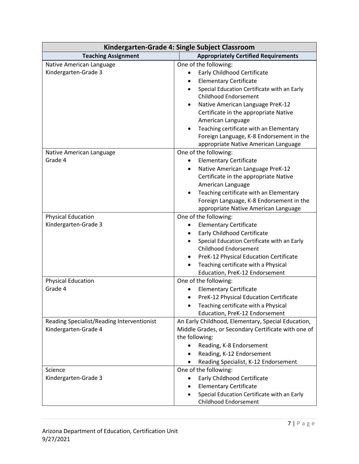| Kindergarten-Grade 4: Single Subject Classroom                                |                                                                                                                                                                                                                                                                                                                                                                           |
|-------------------------------------------------------------------------------|---------------------------------------------------------------------------------------------------------------------------------------------------------------------------------------------------------------------------------------------------------------------------------------------------------------------------------------------------------------------------|
| <b>Teaching Assignment</b>                                                    | <b>Appropriately Certified Requirements</b>                                                                                                                                                                                                                                                                                                                               |
| Native American Language<br>Kindergarten-Grade 3                              | One of the following:<br><b>Early Childhood Certificate</b><br><b>Elementary Certificate</b><br>Special Education Certificate with an Early<br><b>Childhood Endorsement</b><br>Native American Language PreK-12<br>Certificate in the appropriate Native<br>American Language<br>Teaching certificate with an Elementary<br>٠<br>Foreign Language, K-8 Endorsement in the |
| Native American Language<br>Grade 4                                           | appropriate Native American Language<br>One of the following:<br><b>Elementary Certificate</b><br>$\bullet$<br>Native American Language PreK-12<br>$\bullet$<br>Certificate in the appropriate Native<br>American Language<br>Teaching certificate with an Elementary<br>Foreign Language, K-8 Endorsement in the<br>appropriate Native American Language                 |
| <b>Physical Education</b><br>Kindergarten-Grade 3                             | One of the following:<br><b>Elementary Certificate</b><br>٠<br><b>Early Childhood Certificate</b><br>٠<br>Special Education Certificate with an Early<br>Childhood Endorsement<br>PreK-12 Physical Education Certificate<br>Teaching certificate with a Physical<br>Education, PreK-12 Endorsement                                                                        |
| <b>Physical Education</b><br>Grade 4                                          | One of the following:<br><b>Elementary Certificate</b><br>PreK-12 Physical Education Certificate<br>٠<br>Teaching certificate with a Physical<br>Education, PreK-12 Endorsement                                                                                                                                                                                           |
| Reading Specialist/Reading Interventionist<br>Kindergarten-Grade 4<br>Science | An Early Childhood, Elementary, Special Education,<br>Middle Grades, or Secondary Certificate with one of<br>the following:<br>Reading, K-8 Endorsement<br>Reading, K-12 Endorsement<br>$\bullet$<br>Reading Specialist, K-12 Endorsement<br>One of the following:                                                                                                        |
| Kindergarten-Grade 3                                                          | <b>Early Childhood Certificate</b><br>$\bullet$<br><b>Elementary Certificate</b><br>Special Education Certificate with an Early<br>Childhood Endorsement                                                                                                                                                                                                                  |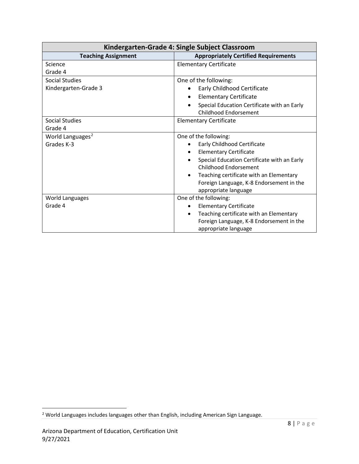| Kindergarten-Grade 4: Single Subject Classroom |                                                                                          |
|------------------------------------------------|------------------------------------------------------------------------------------------|
| <b>Teaching Assignment</b>                     | <b>Appropriately Certified Requirements</b>                                              |
| Science                                        | <b>Elementary Certificate</b>                                                            |
| Grade 4                                        |                                                                                          |
| Social Studies                                 | One of the following:                                                                    |
| Kindergarten-Grade 3                           | Early Childhood Certificate                                                              |
|                                                | <b>Elementary Certificate</b><br>$\bullet$                                               |
|                                                | Special Education Certificate with an Early<br>$\bullet$<br><b>Childhood Endorsement</b> |
| <b>Social Studies</b>                          | <b>Elementary Certificate</b>                                                            |
| Grade 4                                        |                                                                                          |
| World Languages <sup>2</sup>                   | One of the following:                                                                    |
| Grades K-3                                     | Early Childhood Certificate                                                              |
|                                                | <b>Elementary Certificate</b>                                                            |
|                                                | Special Education Certificate with an Early                                              |
|                                                | <b>Childhood Endorsement</b>                                                             |
|                                                | Teaching certificate with an Elementary<br>٠                                             |
|                                                | Foreign Language, K-8 Endorsement in the                                                 |
|                                                | appropriate language                                                                     |
| World Languages                                | One of the following:                                                                    |
| Grade 4                                        | <b>Elementary Certificate</b>                                                            |
|                                                | Teaching certificate with an Elementary<br>$\bullet$                                     |
|                                                | Foreign Language, K-8 Endorsement in the                                                 |
|                                                | appropriate language                                                                     |

<span id="page-7-0"></span> $2$  World Languages includes languages other than English, including American Sign Language.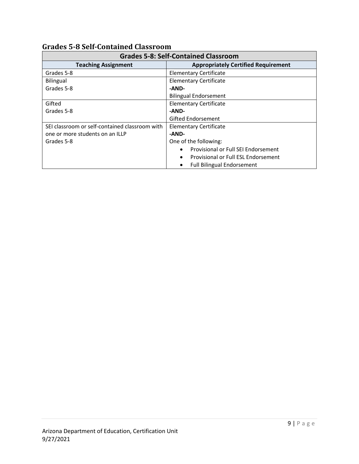| <b>Grades 5-8: Self-Contained Classroom</b>    |                                                  |
|------------------------------------------------|--------------------------------------------------|
| <b>Teaching Assignment</b>                     | <b>Appropriately Certified Requirement</b>       |
| Grades 5-8                                     | <b>Elementary Certificate</b>                    |
| Bilingual                                      | <b>Elementary Certificate</b>                    |
| Grades 5-8                                     | -AND-                                            |
|                                                | <b>Bilingual Endorsement</b>                     |
| Gifted                                         | <b>Elementary Certificate</b>                    |
| Grades 5-8                                     | -AND-                                            |
|                                                | <b>Gifted Endorsement</b>                        |
| SEI classroom or self-contained classroom with | <b>Elementary Certificate</b>                    |
| one or more students on an ILLP                | -AND-                                            |
| Grades 5-8                                     | One of the following:                            |
|                                                | Provisional or Full SEI Endorsement<br>$\bullet$ |
|                                                | Provisional or Full ESL Endorsement<br>$\bullet$ |
|                                                | <b>Full Bilingual Endorsement</b>                |

#### <span id="page-8-0"></span>**Grades 5-8 Self-Contained Classroom**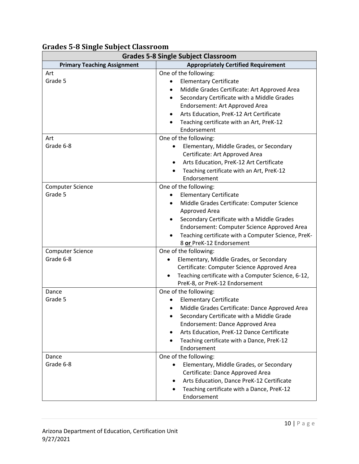| <b>Grades 5-8 Single Subject Classroom</b> |                                                                                                                                                                                                                                                                                                                                  |
|--------------------------------------------|----------------------------------------------------------------------------------------------------------------------------------------------------------------------------------------------------------------------------------------------------------------------------------------------------------------------------------|
| <b>Primary Teaching Assignment</b>         | <b>Appropriately Certified Requirement</b>                                                                                                                                                                                                                                                                                       |
| Art<br>Grade 5                             | One of the following:<br><b>Elementary Certificate</b><br>Middle Grades Certificate: Art Approved Area<br>Secondary Certificate with a Middle Grades<br>$\bullet$<br>Endorsement: Art Approved Area<br>Arts Education, PreK-12 Art Certificate<br>Teaching certificate with an Art, PreK-12<br>Endorsement                       |
| Art<br>Grade 6-8                           | One of the following:<br>Elementary, Middle Grades, or Secondary<br>Certificate: Art Approved Area<br>Arts Education, PreK-12 Art Certificate<br>$\bullet$<br>Teaching certificate with an Art, PreK-12<br>Endorsement                                                                                                           |
| <b>Computer Science</b><br>Grade 5         | One of the following:<br><b>Elementary Certificate</b><br>$\bullet$<br>Middle Grades Certificate: Computer Science<br>Approved Area<br>Secondary Certificate with a Middle Grades<br>$\bullet$<br>Endorsement: Computer Science Approved Area<br>Teaching certificate with a Computer Science, PreK-<br>8 or PreK-12 Endorsement |
| <b>Computer Science</b><br>Grade 6-8       | One of the following:<br>Elementary, Middle Grades, or Secondary<br>Certificate: Computer Science Approved Area<br>Teaching certificate with a Computer Science, 6-12,<br>$\bullet$<br>PreK-8, or PreK-12 Endorsement                                                                                                            |
| Dance<br>Grade 5                           | One of the following:<br><b>Elementary Certificate</b><br>Middle Grades Certificate: Dance Approved Area<br>Secondary Certificate with a Middle Grade<br>Endorsement: Dance Approved Area<br>Arts Education, PreK-12 Dance Certificate<br>Teaching certificate with a Dance, PreK-12<br>Endorsement                              |
| Dance<br>Grade 6-8                         | One of the following:<br>Elementary, Middle Grades, or Secondary<br>Certificate: Dance Approved Area<br>Arts Education, Dance PreK-12 Certificate<br>Teaching certificate with a Dance, PreK-12<br>Endorsement                                                                                                                   |

# <span id="page-9-0"></span>**Grades 5-8 Single Subject Classroom**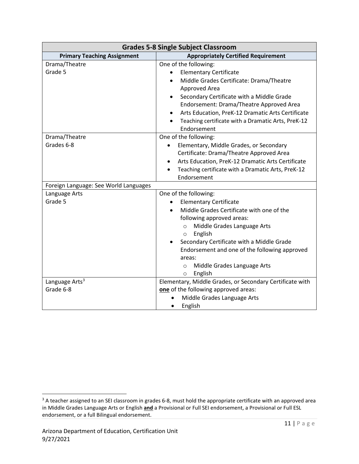| <b>Grades 5-8 Single Subject Classroom</b> |                                                                                                                                                                                                                                                                                                                                                                          |
|--------------------------------------------|--------------------------------------------------------------------------------------------------------------------------------------------------------------------------------------------------------------------------------------------------------------------------------------------------------------------------------------------------------------------------|
| <b>Primary Teaching Assignment</b>         | <b>Appropriately Certified Requirement</b>                                                                                                                                                                                                                                                                                                                               |
| Drama/Theatre<br>Grade 5                   | One of the following:<br><b>Elementary Certificate</b><br>$\bullet$<br>Middle Grades Certificate: Drama/Theatre<br>$\bullet$<br>Approved Area<br>Secondary Certificate with a Middle Grade<br>Endorsement: Drama/Theatre Approved Area<br>Arts Education, PreK-12 Dramatic Arts Certificate<br>Teaching certificate with a Dramatic Arts, PreK-12<br>Endorsement         |
| Drama/Theatre<br>Grades 6-8                | One of the following:<br>Elementary, Middle Grades, or Secondary<br>Certificate: Drama/Theatre Approved Area<br>Arts Education, PreK-12 Dramatic Arts Certificate<br>$\bullet$<br>Teaching certificate with a Dramatic Arts, PreK-12<br>Endorsement                                                                                                                      |
| Foreign Language: See World Languages      |                                                                                                                                                                                                                                                                                                                                                                          |
| Language Arts<br>Grade 5                   | One of the following:<br><b>Elementary Certificate</b><br>Middle Grades Certificate with one of the<br>following approved areas:<br>Middle Grades Language Arts<br>$\circ$<br>English<br>$\circ$<br>Secondary Certificate with a Middle Grade<br>Endorsement and one of the following approved<br>areas:<br>Middle Grades Language Arts<br>$\circ$<br>English<br>$\circ$ |
| Language Arts <sup>3</sup><br>Grade 6-8    | Elementary, Middle Grades, or Secondary Certificate with<br>one of the following approved areas:<br>Middle Grades Language Arts<br>English<br>$\bullet$                                                                                                                                                                                                                  |

<span id="page-10-0"></span><sup>&</sup>lt;sup>3</sup> A teacher assigned to an SEI classroom in grades 6-8, must hold the appropriate certificate with an approved area in Middle Grades Language Arts or English **and** a Provisional or Full SEI endorsement, a Provisional or Full ESL endorsement, or a full Bilingual endorsement.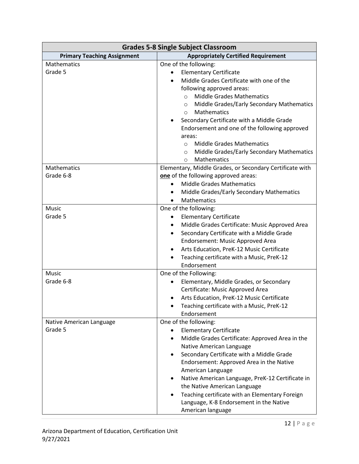| <b>Grades 5-8 Single Subject Classroom</b> |                                                          |
|--------------------------------------------|----------------------------------------------------------|
| <b>Primary Teaching Assignment</b>         | <b>Appropriately Certified Requirement</b>               |
| Mathematics                                | One of the following:                                    |
| Grade 5                                    | <b>Elementary Certificate</b>                            |
|                                            | Middle Grades Certificate with one of the                |
|                                            | following approved areas:                                |
|                                            | <b>Middle Grades Mathematics</b><br>$\circ$              |
|                                            | Middle Grades/Early Secondary Mathematics<br>$\circ$     |
|                                            | Mathematics<br>$\circ$                                   |
|                                            | Secondary Certificate with a Middle Grade                |
|                                            | Endorsement and one of the following approved            |
|                                            | areas:                                                   |
|                                            | <b>Middle Grades Mathematics</b><br>$\circ$              |
|                                            | Middle Grades/Early Secondary Mathematics<br>O           |
|                                            | Mathematics<br>$\circ$                                   |
| <b>Mathematics</b>                         | Elementary, Middle Grades, or Secondary Certificate with |
| Grade 6-8                                  | one of the following approved areas:                     |
|                                            | <b>Middle Grades Mathematics</b><br>$\bullet$            |
|                                            | Middle Grades/Early Secondary Mathematics                |
|                                            | Mathematics                                              |
| Music                                      | One of the following:                                    |
| Grade 5                                    | <b>Elementary Certificate</b>                            |
|                                            | Middle Grades Certificate: Music Approved Area<br>٠      |
|                                            | Secondary Certificate with a Middle Grade<br>$\bullet$   |
|                                            | Endorsement: Music Approved Area                         |
|                                            | Arts Education, PreK-12 Music Certificate<br>٠           |
|                                            | Teaching certificate with a Music, PreK-12<br>$\bullet$  |
|                                            | Endorsement                                              |
| Music                                      | One of the Following:                                    |
| Grade 6-8                                  | Elementary, Middle Grades, or Secondary                  |
|                                            | Certificate: Music Approved Area                         |
|                                            | Arts Education, PreK-12 Music Certificate                |
|                                            | Teaching certificate with a Music, PreK-12               |
|                                            | Endorsement                                              |
| Native American Language                   | One of the following:                                    |
| Grade 5                                    | <b>Elementary Certificate</b>                            |
|                                            | Middle Grades Certificate: Approved Area in the          |
|                                            | Native American Language                                 |
|                                            | Secondary Certificate with a Middle Grade<br>$\bullet$   |
|                                            | Endorsement: Approved Area in the Native                 |
|                                            | American Language                                        |
|                                            | Native American Language, PreK-12 Certificate in         |
|                                            | the Native American Language                             |
|                                            | Teaching certificate with an Elementary Foreign          |
|                                            | Language, K-8 Endorsement in the Native                  |
|                                            | American language                                        |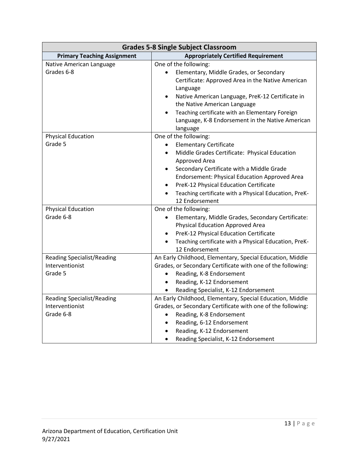| <b>Grades 5-8 Single Subject Classroom</b>                        |                                                                                                                                                                                                                                                                                                                                                                                                                     |
|-------------------------------------------------------------------|---------------------------------------------------------------------------------------------------------------------------------------------------------------------------------------------------------------------------------------------------------------------------------------------------------------------------------------------------------------------------------------------------------------------|
| <b>Primary Teaching Assignment</b>                                | <b>Appropriately Certified Requirement</b>                                                                                                                                                                                                                                                                                                                                                                          |
| Native American Language<br>Grades 6-8                            | One of the following:<br>Elementary, Middle Grades, or Secondary<br>$\bullet$<br>Certificate: Approved Area in the Native American<br>Language<br>Native American Language, PreK-12 Certificate in<br>$\bullet$<br>the Native American Language<br>Teaching certificate with an Elementary Foreign<br>$\bullet$<br>Language, K-8 Endorsement in the Native American<br>language                                     |
| <b>Physical Education</b><br>Grade 5                              | One of the following:<br><b>Elementary Certificate</b><br>$\bullet$<br>Middle Grades Certificate: Physical Education<br>$\bullet$<br>Approved Area<br>Secondary Certificate with a Middle Grade<br>$\bullet$<br><b>Endorsement: Physical Education Approved Area</b><br>PreK-12 Physical Education Certificate<br>$\bullet$<br>Teaching certificate with a Physical Education, PreK-<br>$\bullet$<br>12 Endorsement |
| <b>Physical Education</b><br>Grade 6-8                            | One of the following:<br>Elementary, Middle Grades, Secondary Certificate:<br>$\bullet$<br><b>Physical Education Approved Area</b><br>PreK-12 Physical Education Certificate<br>$\bullet$<br>Teaching certificate with a Physical Education, PreK-<br>$\bullet$<br>12 Endorsement                                                                                                                                   |
| <b>Reading Specialist/Reading</b><br>Interventionist<br>Grade 5   | An Early Childhood, Elementary, Special Education, Middle<br>Grades, or Secondary Certificate with one of the following:<br>Reading, K-8 Endorsement<br>$\bullet$<br>Reading, K-12 Endorsement<br>$\bullet$<br>Reading Specialist, K-12 Endorsement<br>$\bullet$                                                                                                                                                    |
| <b>Reading Specialist/Reading</b><br>Interventionist<br>Grade 6-8 | An Early Childhood, Elementary, Special Education, Middle<br>Grades, or Secondary Certificate with one of the following:<br>Reading, K-8 Endorsement<br>$\bullet$<br>Reading, 6-12 Endorsement<br>$\bullet$<br>Reading, K-12 Endorsement<br>$\bullet$<br>Reading Specialist, K-12 Endorsement<br>$\bullet$                                                                                                          |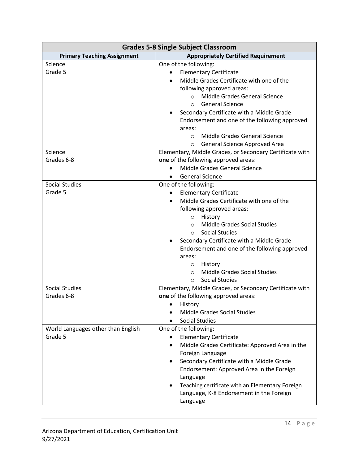| <b>Grades 5-8 Single Subject Classroom</b> |                                                              |
|--------------------------------------------|--------------------------------------------------------------|
| <b>Primary Teaching Assignment</b>         | <b>Appropriately Certified Requirement</b>                   |
| Science                                    | One of the following:                                        |
| Grade 5                                    | <b>Elementary Certificate</b>                                |
|                                            | Middle Grades Certificate with one of the                    |
|                                            | following approved areas:                                    |
|                                            | Middle Grades General Science<br>$\circ$                     |
|                                            | <b>General Science</b><br>$\circ$                            |
|                                            | Secondary Certificate with a Middle Grade                    |
|                                            | Endorsement and one of the following approved                |
|                                            | areas:                                                       |
|                                            | Middle Grades General Science<br>$\circ$                     |
|                                            | General Science Approved Area<br>$\circ$                     |
| Science                                    | Elementary, Middle Grades, or Secondary Certificate with     |
| Grades 6-8                                 | one of the following approved areas:                         |
|                                            | Middle Grades General Science                                |
|                                            | <b>General Science</b><br>٠                                  |
| <b>Social Studies</b>                      | One of the following:                                        |
| Grade 5                                    | <b>Elementary Certificate</b>                                |
|                                            | Middle Grades Certificate with one of the                    |
|                                            | following approved areas:                                    |
|                                            | History<br>$\circ$                                           |
|                                            | <b>Middle Grades Social Studies</b><br>$\circ$               |
|                                            | <b>Social Studies</b><br>$\circ$                             |
|                                            | Secondary Certificate with a Middle Grade                    |
|                                            | Endorsement and one of the following approved                |
|                                            | areas:                                                       |
|                                            | History<br>$\circ$                                           |
|                                            | Middle Grades Social Studies<br>$\circ$                      |
|                                            | Social Studies<br>$\circ$                                    |
| <b>Social Studies</b>                      | Elementary, Middle Grades, or Secondary Certificate with     |
| Grades 6-8                                 | one of the following approved areas:                         |
|                                            | History                                                      |
|                                            | Middle Grades Social Studies                                 |
|                                            | <b>Social Studies</b><br>$\bullet$                           |
| World Languages other than English         | One of the following:                                        |
| Grade 5                                    | <b>Elementary Certificate</b>                                |
|                                            | Middle Grades Certificate: Approved Area in the<br>$\bullet$ |
|                                            | Foreign Language                                             |
|                                            | Secondary Certificate with a Middle Grade                    |
|                                            | Endorsement: Approved Area in the Foreign<br>Language        |
|                                            | Teaching certificate with an Elementary Foreign              |
|                                            | Language, K-8 Endorsement in the Foreign                     |
|                                            | Language                                                     |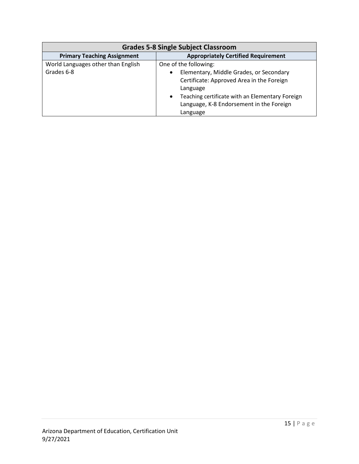| <b>Grades 5-8 Single Subject Classroom</b> |                                                              |
|--------------------------------------------|--------------------------------------------------------------|
| <b>Primary Teaching Assignment</b>         | <b>Appropriately Certified Requirement</b>                   |
| World Languages other than English         | One of the following:                                        |
| Grades 6-8                                 | Elementary, Middle Grades, or Secondary                      |
|                                            | Certificate: Approved Area in the Foreign                    |
|                                            | Language                                                     |
|                                            | Teaching certificate with an Elementary Foreign<br>$\bullet$ |
|                                            | Language, K-8 Endorsement in the Foreign                     |
|                                            | Language                                                     |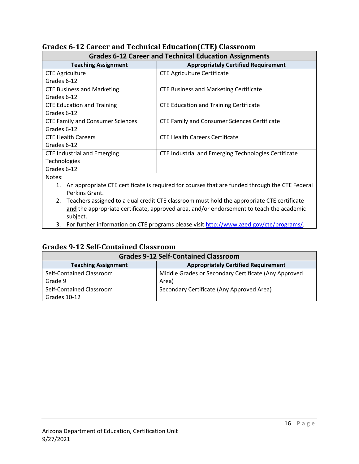| <b>Grades 6-12 Career and Technical Education Assignments</b> |                                                      |
|---------------------------------------------------------------|------------------------------------------------------|
| <b>Teaching Assignment</b>                                    | <b>Appropriately Certified Requirement</b>           |
| <b>CTE Agriculture</b>                                        | <b>CTE Agriculture Certificate</b>                   |
| Grades 6-12                                                   |                                                      |
| <b>CTE Business and Marketing</b>                             | <b>CTE Business and Marketing Certificate</b>        |
| Grades 6-12                                                   |                                                      |
| <b>CTE Education and Training</b>                             | <b>CTE Education and Training Certificate</b>        |
| Grades 6-12                                                   |                                                      |
| <b>CTE Family and Consumer Sciences</b>                       | <b>CTE Family and Consumer Sciences Certificate</b>  |
| Grades 6-12                                                   |                                                      |
| <b>CTE Health Careers</b>                                     | <b>CTE Health Careers Certificate</b>                |
| Grades 6-12                                                   |                                                      |
| <b>CTE Industrial and Emerging</b>                            | CTE Industrial and Emerging Technologies Certificate |
| Technologies                                                  |                                                      |
| Grades 6-12                                                   |                                                      |
|                                                               |                                                      |

#### <span id="page-15-0"></span>**Grades 6-12 Career and Technical Education(CTE) Classroom**

Notes:

- 1. An appropriate CTE certificate is required for courses that are funded through the CTE Federal Perkins Grant.
- 2. Teachers assigned to a dual credit CTE classroom must hold the appropriate CTE certificate **and** the appropriate certificate, approved area, and/or endorsement to teach the academic subject.
- 3. For further information on CTE programs please visit [http://www.azed.gov/cte/programs/.](http://www.azed.gov/cte/programs/)

#### <span id="page-15-1"></span>**Grades 9-12 Self-Contained Classroom**

| <b>Grades 9-12 Self-Contained Classroom</b> |                                                      |
|---------------------------------------------|------------------------------------------------------|
| <b>Teaching Assignment</b>                  | <b>Appropriately Certified Requirement</b>           |
| Self-Contained Classroom                    | Middle Grades or Secondary Certificate (Any Approved |
| Grade 9                                     | Area)                                                |
| Self-Contained Classroom                    | Secondary Certificate (Any Approved Area)            |
| Grades 10-12                                |                                                      |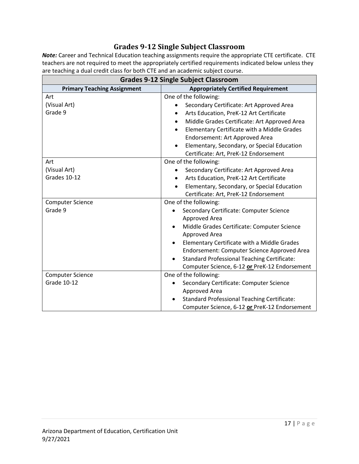#### **Grades 9-12 Single Subject Classroom**

<span id="page-16-0"></span>*Note:* Career and Technical Education teaching assignments require the appropriate CTE certificate. CTE teachers are not required to meet the appropriately certified requirements indicated below unless they are teaching a dual credit class for both CTE and an academic subject course.

| <b>Grades 9-12 Single Subject Classroom</b> |                                                          |
|---------------------------------------------|----------------------------------------------------------|
| <b>Primary Teaching Assignment</b>          | <b>Appropriately Certified Requirement</b>               |
| Art                                         | One of the following:                                    |
| (Visual Art)                                | Secondary Certificate: Art Approved Area                 |
| Grade 9                                     | Arts Education, PreK-12 Art Certificate<br>$\bullet$     |
|                                             | Middle Grades Certificate: Art Approved Area             |
|                                             | Elementary Certificate with a Middle Grades              |
|                                             | Endorsement: Art Approved Area                           |
|                                             | Elementary, Secondary, or Special Education<br>$\bullet$ |
|                                             | Certificate: Art, PreK-12 Endorsement                    |
| Art                                         | One of the following:                                    |
| (Visual Art)                                | Secondary Certificate: Art Approved Area                 |
| Grades 10-12                                | Arts Education, PreK-12 Art Certificate                  |
|                                             | Elementary, Secondary, or Special Education<br>$\bullet$ |
|                                             | Certificate: Art, PreK-12 Endorsement                    |
| <b>Computer Science</b>                     | One of the following:                                    |
| Grade 9                                     | Secondary Certificate: Computer Science                  |
|                                             | Approved Area                                            |
|                                             | Middle Grades Certificate: Computer Science              |
|                                             | Approved Area                                            |
|                                             | Elementary Certificate with a Middle Grades              |
|                                             | Endorsement: Computer Science Approved Area              |
|                                             | <b>Standard Professional Teaching Certificate:</b>       |
|                                             | Computer Science, 6-12 or PreK-12 Endorsement            |
| <b>Computer Science</b>                     | One of the following:                                    |
| <b>Grade 10-12</b>                          | Secondary Certificate: Computer Science                  |
|                                             | Approved Area                                            |
|                                             | <b>Standard Professional Teaching Certificate:</b>       |
|                                             | Computer Science, 6-12 or PreK-12 Endorsement            |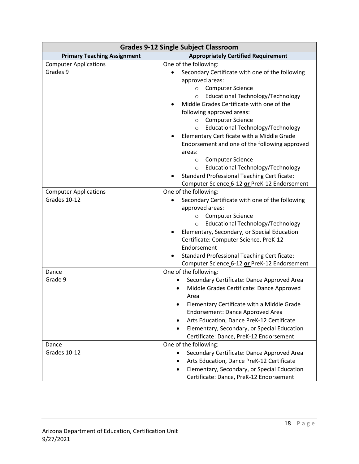| <b>Grades 9-12 Single Subject Classroom</b> |                                                          |
|---------------------------------------------|----------------------------------------------------------|
| <b>Primary Teaching Assignment</b>          | <b>Appropriately Certified Requirement</b>               |
| <b>Computer Applications</b>                | One of the following:                                    |
| Grades 9                                    | Secondary Certificate with one of the following          |
|                                             | approved areas:                                          |
|                                             | <b>Computer Science</b><br>$\circ$                       |
|                                             | Educational Technology/Technology<br>$\circ$             |
|                                             | Middle Grades Certificate with one of the                |
|                                             | following approved areas:                                |
|                                             | <b>Computer Science</b><br>$\circ$                       |
|                                             | Educational Technology/Technology<br>$\circ$             |
|                                             | Elementary Certificate with a Middle Grade<br>٠          |
|                                             | Endorsement and one of the following approved            |
|                                             | areas:                                                   |
|                                             | <b>Computer Science</b><br>$\circ$                       |
|                                             | Educational Technology/Technology<br>$\circ$             |
|                                             | <b>Standard Professional Teaching Certificate:</b>       |
|                                             | Computer Science 6-12 or PreK-12 Endorsement             |
| <b>Computer Applications</b>                | One of the following:                                    |
| Grades 10-12                                | Secondary Certificate with one of the following          |
|                                             | approved areas:                                          |
|                                             | <b>Computer Science</b><br>$\circ$                       |
|                                             | <b>Educational Technology/Technology</b><br>$\circ$      |
|                                             | Elementary, Secondary, or Special Education              |
|                                             | Certificate: Computer Science, PreK-12                   |
|                                             | Endorsement                                              |
|                                             | <b>Standard Professional Teaching Certificate:</b>       |
|                                             | Computer Science 6-12 or PreK-12 Endorsement             |
| Dance                                       | One of the following:                                    |
| Grade 9                                     | Secondary Certificate: Dance Approved Area               |
|                                             | Middle Grades Certificate: Dance Approved                |
|                                             | Area                                                     |
|                                             | Elementary Certificate with a Middle Grade               |
|                                             | Endorsement: Dance Approved Area                         |
|                                             | Arts Education, Dance PreK-12 Certificate<br>$\bullet$   |
|                                             | Elementary, Secondary, or Special Education<br>$\bullet$ |
|                                             | Certificate: Dance, PreK-12 Endorsement                  |
| Dance                                       | One of the following:                                    |
| Grades 10-12                                | Secondary Certificate: Dance Approved Area<br>$\bullet$  |
|                                             | Arts Education, Dance PreK-12 Certificate                |
|                                             | Elementary, Secondary, or Special Education              |
|                                             | Certificate: Dance, PreK-12 Endorsement                  |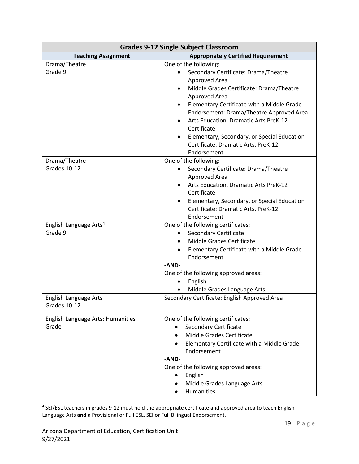| <b>Grades 9-12 Single Subject Classroom</b>   |                                                                        |
|-----------------------------------------------|------------------------------------------------------------------------|
| <b>Teaching Assignment</b>                    | <b>Appropriately Certified Requirement</b>                             |
| Drama/Theatre                                 | One of the following:                                                  |
| Grade 9                                       | Secondary Certificate: Drama/Theatre<br>$\bullet$                      |
|                                               | Approved Area                                                          |
|                                               | Middle Grades Certificate: Drama/Theatre                               |
|                                               | Approved Area                                                          |
|                                               | Elementary Certificate with a Middle Grade<br>٠                        |
|                                               | Endorsement: Drama/Theatre Approved Area                               |
|                                               | Arts Education, Dramatic Arts PreK-12<br>٠                             |
|                                               | Certificate                                                            |
|                                               | Elementary, Secondary, or Special Education                            |
|                                               | Certificate: Dramatic Arts, PreK-12                                    |
|                                               | Endorsement                                                            |
| Drama/Theatre                                 | One of the following:                                                  |
| Grades 10-12                                  | Secondary Certificate: Drama/Theatre                                   |
|                                               | Approved Area                                                          |
|                                               | Arts Education, Dramatic Arts PreK-12<br>$\bullet$                     |
|                                               | Certificate                                                            |
|                                               | Elementary, Secondary, or Special Education                            |
|                                               | Certificate: Dramatic Arts, PreK-12                                    |
|                                               | Endorsement                                                            |
| English Language Arts <sup>4</sup><br>Grade 9 | One of the following certificates:                                     |
|                                               | <b>Secondary Certificate</b><br>$\bullet$<br>Middle Grades Certificate |
|                                               | $\bullet$                                                              |
|                                               | Elementary Certificate with a Middle Grade<br>Endorsement              |
|                                               | -AND-                                                                  |
|                                               | One of the following approved areas:                                   |
|                                               | English                                                                |
|                                               | Middle Grades Language Arts                                            |
| English Language Arts                         | Secondary Certificate: English Approved Area                           |
| Grades 10-12                                  |                                                                        |
|                                               |                                                                        |
| <b>English Language Arts: Humanities</b>      | One of the following certificates:                                     |
| Grade                                         | <b>Secondary Certificate</b><br>$\bullet$                              |
|                                               | Middle Grades Certificate                                              |
|                                               | Elementary Certificate with a Middle Grade<br>$\bullet$                |
|                                               | Endorsement                                                            |
|                                               | -AND-                                                                  |
|                                               | One of the following approved areas:                                   |
|                                               | English<br>٠                                                           |
|                                               | Middle Grades Language Arts                                            |
|                                               | Humanities                                                             |

<span id="page-18-0"></span><sup>4</sup> SEI/ESL teachers in grades 9-12 must hold the appropriate certificate and approved area to teach English Language Arts **and** a Provisional or Full ESL, SEI or Full Bilingual Endorsement.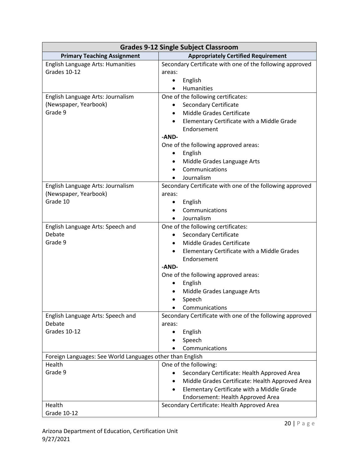| <b>Grades 9-12 Single Subject Classroom</b>               |                                                                                                                                                                                                                                       |
|-----------------------------------------------------------|---------------------------------------------------------------------------------------------------------------------------------------------------------------------------------------------------------------------------------------|
| <b>Primary Teaching Assignment</b>                        | <b>Appropriately Certified Requirement</b>                                                                                                                                                                                            |
| English Language Arts: Humanities                         | Secondary Certificate with one of the following approved                                                                                                                                                                              |
| Grades 10-12                                              | areas:                                                                                                                                                                                                                                |
|                                                           | English<br>٠                                                                                                                                                                                                                          |
|                                                           | Humanities                                                                                                                                                                                                                            |
| English Language Arts: Journalism                         | One of the following certificates:                                                                                                                                                                                                    |
| (Newspaper, Yearbook)                                     | <b>Secondary Certificate</b>                                                                                                                                                                                                          |
| Grade 9                                                   | <b>Middle Grades Certificate</b><br>$\bullet$                                                                                                                                                                                         |
|                                                           | Elementary Certificate with a Middle Grade                                                                                                                                                                                            |
|                                                           | Endorsement                                                                                                                                                                                                                           |
|                                                           | -AND-                                                                                                                                                                                                                                 |
|                                                           | One of the following approved areas:                                                                                                                                                                                                  |
|                                                           | English<br>$\bullet$                                                                                                                                                                                                                  |
|                                                           | Middle Grades Language Arts                                                                                                                                                                                                           |
|                                                           | Communications                                                                                                                                                                                                                        |
|                                                           | Journalism                                                                                                                                                                                                                            |
| English Language Arts: Journalism                         | Secondary Certificate with one of the following approved                                                                                                                                                                              |
| (Newspaper, Yearbook)                                     | areas:                                                                                                                                                                                                                                |
| Grade 10                                                  | English<br>٠                                                                                                                                                                                                                          |
|                                                           | Communications                                                                                                                                                                                                                        |
|                                                           | Journalism                                                                                                                                                                                                                            |
| English Language Arts: Speech and                         | One of the following certificates:                                                                                                                                                                                                    |
| Debate                                                    | <b>Secondary Certificate</b>                                                                                                                                                                                                          |
| Grade 9                                                   | Middle Grades Certificate                                                                                                                                                                                                             |
|                                                           | Elementary Certificate with a Middle Grades<br>$\bullet$                                                                                                                                                                              |
|                                                           | Endorsement                                                                                                                                                                                                                           |
|                                                           | -AND-                                                                                                                                                                                                                                 |
|                                                           | One of the following approved areas:                                                                                                                                                                                                  |
|                                                           | English<br>٠                                                                                                                                                                                                                          |
|                                                           | Middle Grades Language Arts                                                                                                                                                                                                           |
|                                                           | Speech                                                                                                                                                                                                                                |
|                                                           | Communications                                                                                                                                                                                                                        |
| English Language Arts: Speech and                         | Secondary Certificate with one of the following approved                                                                                                                                                                              |
| Debate                                                    | areas:                                                                                                                                                                                                                                |
| Grades 10-12                                              | English<br>٠                                                                                                                                                                                                                          |
|                                                           | Speech                                                                                                                                                                                                                                |
|                                                           | Communications                                                                                                                                                                                                                        |
| Foreign Languages: See World Languages other than English |                                                                                                                                                                                                                                       |
| Health                                                    | One of the following:                                                                                                                                                                                                                 |
|                                                           |                                                                                                                                                                                                                                       |
|                                                           |                                                                                                                                                                                                                                       |
|                                                           |                                                                                                                                                                                                                                       |
|                                                           |                                                                                                                                                                                                                                       |
|                                                           |                                                                                                                                                                                                                                       |
| Grade 9<br>Health<br>Grade 10-12                          | Secondary Certificate: Health Approved Area<br>Middle Grades Certificate: Health Approved Area<br>٠<br>Elementary Certificate with a Middle Grade<br>Endorsement: Health Approved Area<br>Secondary Certificate: Health Approved Area |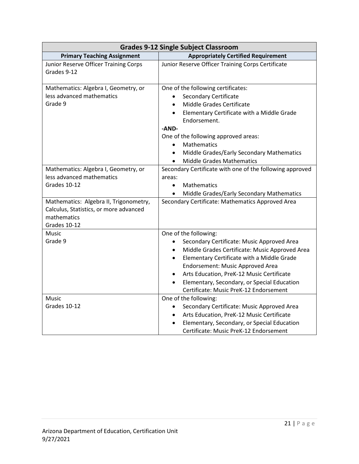| <b>Grades 9-12 Single Subject Classroom</b>                                                                                 |                                                                                                                                                                                                                                                                                                                                                             |
|-----------------------------------------------------------------------------------------------------------------------------|-------------------------------------------------------------------------------------------------------------------------------------------------------------------------------------------------------------------------------------------------------------------------------------------------------------------------------------------------------------|
| <b>Primary Teaching Assignment</b>                                                                                          | <b>Appropriately Certified Requirement</b>                                                                                                                                                                                                                                                                                                                  |
| Junior Reserve Officer Training Corps<br>Grades 9-12                                                                        | Junior Reserve Officer Training Corps Certificate                                                                                                                                                                                                                                                                                                           |
| Mathematics: Algebra I, Geometry, or<br>less advanced mathematics<br>Grade 9                                                | One of the following certificates:<br><b>Secondary Certificate</b><br>Middle Grades Certificate<br>Elementary Certificate with a Middle Grade<br>Endorsement.<br>-AND-<br>One of the following approved areas:<br>Mathematics<br>Middle Grades/Early Secondary Mathematics<br>$\bullet$<br><b>Middle Grades Mathematics</b><br>$\bullet$                    |
| Mathematics: Algebra I, Geometry, or<br>less advanced mathematics<br>Grades 10-12<br>Mathematics: Algebra II, Trigonometry, | Secondary Certificate with one of the following approved<br>areas:<br>Mathematics<br>$\bullet$<br>Middle Grades/Early Secondary Mathematics<br>Secondary Certificate: Mathematics Approved Area                                                                                                                                                             |
| Calculus, Statistics, or more advanced<br>mathematics<br>Grades 10-12                                                       |                                                                                                                                                                                                                                                                                                                                                             |
| <b>Music</b>                                                                                                                | One of the following:                                                                                                                                                                                                                                                                                                                                       |
| Grade 9                                                                                                                     | Secondary Certificate: Music Approved Area<br>Middle Grades Certificate: Music Approved Area<br>Elementary Certificate with a Middle Grade<br>$\bullet$<br>Endorsement: Music Approved Area<br>Arts Education, PreK-12 Music Certificate<br>$\bullet$<br>Elementary, Secondary, or Special Education<br>$\bullet$<br>Certificate: Music PreK-12 Endorsement |
| Music<br>Grades 10-12                                                                                                       | One of the following:<br>Secondary Certificate: Music Approved Area<br>$\bullet$<br>Arts Education, PreK-12 Music Certificate<br>$\bullet$<br>Elementary, Secondary, or Special Education<br>$\bullet$<br>Certificate: Music PreK-12 Endorsement                                                                                                            |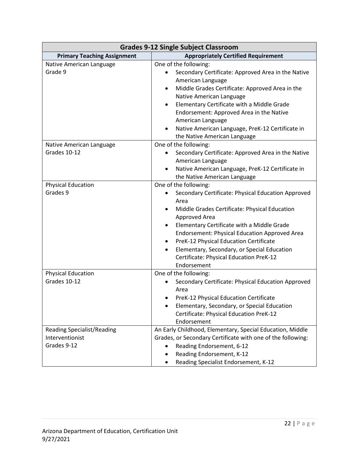| <b>Grades 9-12 Single Subject Classroom</b>                         |                                                                                                                                                                                                                                                                                                                                                                                                                                          |
|---------------------------------------------------------------------|------------------------------------------------------------------------------------------------------------------------------------------------------------------------------------------------------------------------------------------------------------------------------------------------------------------------------------------------------------------------------------------------------------------------------------------|
| <b>Primary Teaching Assignment</b>                                  | <b>Appropriately Certified Requirement</b>                                                                                                                                                                                                                                                                                                                                                                                               |
| Native American Language<br>Grade 9                                 | One of the following:<br>Secondary Certificate: Approved Area in the Native<br>American Language<br>Middle Grades Certificate: Approved Area in the<br>$\bullet$<br>Native American Language<br>Elementary Certificate with a Middle Grade<br>$\bullet$<br>Endorsement: Approved Area in the Native<br>American Language<br>Native American Language, PreK-12 Certificate in<br>the Native American Language                             |
| Native American Language<br>Grades 10-12                            | One of the following:<br>Secondary Certificate: Approved Area in the Native<br>$\bullet$<br>American Language<br>Native American Language, PreK-12 Certificate in<br>the Native American Language                                                                                                                                                                                                                                        |
| <b>Physical Education</b><br>Grades 9                               | One of the following:<br>Secondary Certificate: Physical Education Approved<br>Area<br>Middle Grades Certificate: Physical Education<br>$\bullet$<br>Approved Area<br>Elementary Certificate with a Middle Grade<br><b>Endorsement: Physical Education Approved Area</b><br>PreK-12 Physical Education Certificate<br>Elementary, Secondary, or Special Education<br>$\bullet$<br>Certificate: Physical Education PreK-12<br>Endorsement |
| <b>Physical Education</b><br>Grades 10-12                           | One of the following:<br>Secondary Certificate: Physical Education Approved<br>Area<br>PreK-12 Physical Education Certificate<br>Elementary, Secondary, or Special Education<br>Certificate: Physical Education PreK-12<br>Endorsement                                                                                                                                                                                                   |
| <b>Reading Specialist/Reading</b><br>Interventionist<br>Grades 9-12 | An Early Childhood, Elementary, Special Education, Middle<br>Grades, or Secondary Certificate with one of the following:<br>Reading Endorsement, 6-12<br>Reading Endorsement, K-12<br>Reading Specialist Endorsement, K-12                                                                                                                                                                                                               |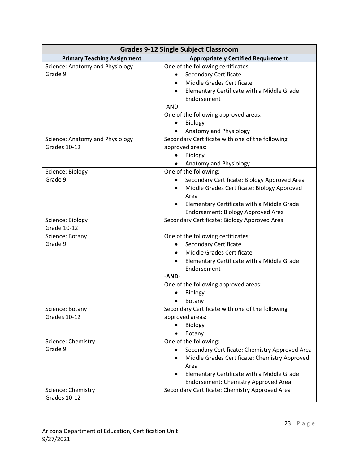| <b>Grades 9-12 Single Subject Classroom</b> |                                                             |
|---------------------------------------------|-------------------------------------------------------------|
| <b>Primary Teaching Assignment</b>          | <b>Appropriately Certified Requirement</b>                  |
| Science: Anatomy and Physiology             | One of the following certificates:                          |
| Grade 9                                     | <b>Secondary Certificate</b>                                |
|                                             | Middle Grades Certificate                                   |
|                                             | Elementary Certificate with a Middle Grade                  |
|                                             | Endorsement                                                 |
|                                             | -AND-                                                       |
|                                             | One of the following approved areas:                        |
|                                             | <b>Biology</b><br>$\bullet$                                 |
|                                             | Anatomy and Physiology                                      |
| Science: Anatomy and Physiology             | Secondary Certificate with one of the following             |
| Grades 10-12                                | approved areas:                                             |
|                                             | Biology<br>$\bullet$                                        |
|                                             | Anatomy and Physiology                                      |
| Science: Biology                            | One of the following:                                       |
| Grade 9                                     | Secondary Certificate: Biology Approved Area                |
|                                             | Middle Grades Certificate: Biology Approved                 |
|                                             | Area                                                        |
|                                             | Elementary Certificate with a Middle Grade                  |
|                                             | Endorsement: Biology Approved Area                          |
| Science: Biology                            | Secondary Certificate: Biology Approved Area                |
| Grade 10-12                                 |                                                             |
| Science: Botany                             | One of the following certificates:                          |
| Grade 9                                     | <b>Secondary Certificate</b>                                |
|                                             | Middle Grades Certificate                                   |
|                                             | Elementary Certificate with a Middle Grade<br>$\bullet$     |
|                                             | Endorsement                                                 |
|                                             | -AND-                                                       |
|                                             | One of the following approved areas:                        |
|                                             | <b>Biology</b>                                              |
|                                             | <b>Botany</b>                                               |
| Science: Botany                             | Secondary Certificate with one of the following             |
| Grades 10-12                                | approved areas:                                             |
|                                             | Biology                                                     |
|                                             | Botany                                                      |
| Science: Chemistry                          | One of the following:                                       |
| Grade 9                                     | Secondary Certificate: Chemistry Approved Area<br>$\bullet$ |
|                                             | Middle Grades Certificate: Chemistry Approved               |
|                                             | Area                                                        |
|                                             | Elementary Certificate with a Middle Grade                  |
|                                             | Endorsement: Chemistry Approved Area                        |
| Science: Chemistry                          | Secondary Certificate: Chemistry Approved Area              |
| Grades 10-12                                |                                                             |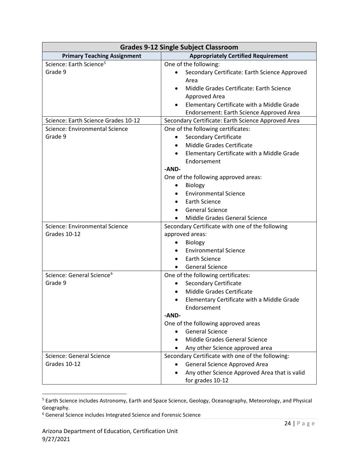| <b>Grades 9-12 Single Subject Classroom</b> |                                                         |
|---------------------------------------------|---------------------------------------------------------|
| <b>Primary Teaching Assignment</b>          | <b>Appropriately Certified Requirement</b>              |
| Science: Earth Science <sup>5</sup>         | One of the following:                                   |
| Grade 9                                     | Secondary Certificate: Earth Science Approved           |
|                                             | Area                                                    |
|                                             | Middle Grades Certificate: Earth Science                |
|                                             | Approved Area                                           |
|                                             | Elementary Certificate with a Middle Grade              |
|                                             | Endorsement: Earth Science Approved Area                |
| Science: Earth Science Grades 10-12         | Secondary Certificate: Earth Science Approved Area      |
| Science: Environmental Science              | One of the following certificates:                      |
| Grade 9                                     | <b>Secondary Certificate</b>                            |
|                                             | Middle Grades Certificate                               |
|                                             | Elementary Certificate with a Middle Grade<br>$\bullet$ |
|                                             | Endorsement                                             |
|                                             | -AND-                                                   |
|                                             | One of the following approved areas:                    |
|                                             | <b>Biology</b><br>٠                                     |
|                                             | <b>Environmental Science</b>                            |
|                                             | <b>Earth Science</b>                                    |
|                                             | <b>General Science</b>                                  |
|                                             | Middle Grades General Science                           |
| Science: Environmental Science              | Secondary Certificate with one of the following         |
| Grades 10-12                                | approved areas:                                         |
|                                             | Biology                                                 |
|                                             | <b>Environmental Science</b>                            |
|                                             | <b>Earth Science</b>                                    |
|                                             | <b>General Science</b>                                  |
| Science: General Science <sup>6</sup>       | One of the following certificates:                      |
| Grade 9                                     | <b>Secondary Certificate</b><br>$\bullet$               |
|                                             | Middle Grades Certificate                               |
|                                             | Elementary Certificate with a Middle Grade<br>$\bullet$ |
|                                             | Endorsement                                             |
|                                             | -AND-                                                   |
|                                             | One of the following approved areas                     |
|                                             | <b>General Science</b>                                  |
|                                             | Middle Grades General Science                           |
|                                             | Any other Science approved area                         |
| Science: General Science                    | Secondary Certificate with one of the following:        |
| Grades 10-12                                | General Science Approved Area<br>$\bullet$              |
|                                             | Any other Science Approved Area that is valid           |
|                                             | for grades 10-12                                        |

<span id="page-23-0"></span><sup>5</sup> Earth Science includes Astronomy, Earth and Space Science, Geology, Oceanography, Meteorology, and Physical Geography.

<span id="page-23-1"></span><sup>6</sup> General Science includes Integrated Science and Forensic Science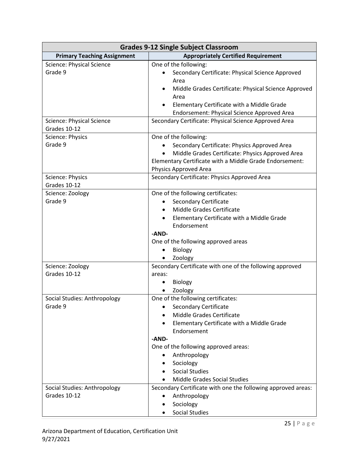| <b>Grades 9-12 Single Subject Classroom</b> |                                                              |
|---------------------------------------------|--------------------------------------------------------------|
| <b>Primary Teaching Assignment</b>          | <b>Appropriately Certified Requirement</b>                   |
| <b>Science: Physical Science</b>            | One of the following:                                        |
| Grade 9                                     | Secondary Certificate: Physical Science Approved             |
|                                             | Area                                                         |
|                                             | Middle Grades Certificate: Physical Science Approved         |
|                                             | Area                                                         |
|                                             | Elementary Certificate with a Middle Grade                   |
|                                             | Endorsement: Physical Science Approved Area                  |
| <b>Science: Physical Science</b>            | Secondary Certificate: Physical Science Approved Area        |
| Grades 10-12                                |                                                              |
| Science: Physics                            | One of the following:                                        |
| Grade 9                                     | Secondary Certificate: Physics Approved Area                 |
|                                             | Middle Grades Certificate: Physics Approved Area             |
|                                             | Elementary Certificate with a Middle Grade Endorsement:      |
|                                             | Physics Approved Area                                        |
| Science: Physics                            | Secondary Certificate: Physics Approved Area                 |
| Grades 10-12                                |                                                              |
| Science: Zoology                            | One of the following certificates:                           |
| Grade 9                                     | <b>Secondary Certificate</b>                                 |
|                                             | Middle Grades Certificate<br>$\bullet$                       |
|                                             | Elementary Certificate with a Middle Grade<br>$\bullet$      |
|                                             | Endorsement<br>-AND-                                         |
|                                             | One of the following approved areas                          |
|                                             | <b>Biology</b>                                               |
|                                             | Zoology                                                      |
| Science: Zoology                            | Secondary Certificate with one of the following approved     |
| Grades 10-12                                | areas:                                                       |
|                                             | <b>Biology</b>                                               |
|                                             | Zoology                                                      |
| Social Studies: Anthropology                | One of the following certificates:                           |
| Grade 9                                     | <b>Secondary Certificate</b>                                 |
|                                             | Middle Grades Certificate                                    |
|                                             | Elementary Certificate with a Middle Grade                   |
|                                             | Endorsement                                                  |
|                                             | -AND-                                                        |
|                                             | One of the following approved areas:                         |
|                                             | Anthropology<br>٠                                            |
|                                             | Sociology                                                    |
|                                             | <b>Social Studies</b>                                        |
|                                             | <b>Middle Grades Social Studies</b>                          |
| Social Studies: Anthropology                | Secondary Certificate with one the following approved areas: |
| Grades 10-12                                | Anthropology<br>٠                                            |
|                                             | Sociology<br>٠                                               |
|                                             | <b>Social Studies</b>                                        |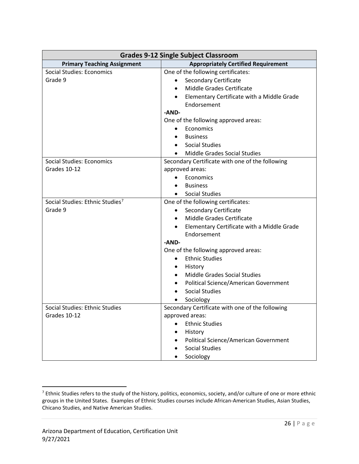| <b>Grades 9-12 Single Subject Classroom</b> |                                                         |  |  |
|---------------------------------------------|---------------------------------------------------------|--|--|
| <b>Primary Teaching Assignment</b>          | <b>Appropriately Certified Requirement</b>              |  |  |
| Social Studies: Economics                   | One of the following certificates:                      |  |  |
| Grade 9                                     | <b>Secondary Certificate</b>                            |  |  |
|                                             | Middle Grades Certificate                               |  |  |
|                                             | Elementary Certificate with a Middle Grade              |  |  |
|                                             | Endorsement                                             |  |  |
|                                             | -AND-                                                   |  |  |
|                                             | One of the following approved areas:                    |  |  |
|                                             | Economics<br>$\bullet$                                  |  |  |
|                                             | <b>Business</b>                                         |  |  |
|                                             | <b>Social Studies</b>                                   |  |  |
|                                             | <b>Middle Grades Social Studies</b>                     |  |  |
| <b>Social Studies: Economics</b>            | Secondary Certificate with one of the following         |  |  |
| Grades 10-12                                | approved areas:                                         |  |  |
|                                             | Economics                                               |  |  |
|                                             | <b>Business</b>                                         |  |  |
|                                             | <b>Social Studies</b>                                   |  |  |
| Social Studies: Ethnic Studies <sup>7</sup> | One of the following certificates:                      |  |  |
| Grade 9                                     | <b>Secondary Certificate</b><br>$\bullet$               |  |  |
|                                             | Middle Grades Certificate                               |  |  |
|                                             | Elementary Certificate with a Middle Grade<br>$\bullet$ |  |  |
|                                             | Endorsement                                             |  |  |
|                                             | $-AND-$                                                 |  |  |
|                                             | One of the following approved areas:                    |  |  |
|                                             | <b>Ethnic Studies</b><br>$\bullet$                      |  |  |
|                                             | History<br>$\bullet$                                    |  |  |
|                                             | <b>Middle Grades Social Studies</b>                     |  |  |
|                                             | <b>Political Science/American Government</b>            |  |  |
|                                             | <b>Social Studies</b>                                   |  |  |
|                                             | Sociology                                               |  |  |
| Social Studies: Ethnic Studies              | Secondary Certificate with one of the following         |  |  |
| Grades 10-12                                | approved areas:                                         |  |  |
|                                             | <b>Ethnic Studies</b>                                   |  |  |
|                                             | History                                                 |  |  |
|                                             | Political Science/American Government                   |  |  |
|                                             | <b>Social Studies</b>                                   |  |  |
|                                             | Sociology<br>$\bullet$                                  |  |  |

<span id="page-25-0"></span><sup>&</sup>lt;sup>7</sup> Ethnic Studies refers to the study of the history, politics, economics, society, and/or culture of one or more ethnic groups in the United States. Examples of Ethnic Studies courses include African-American Studies, Asian Studies, Chicano Studies, and Native American Studies.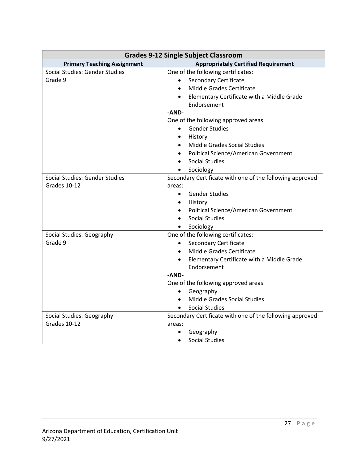| <b>Grades 9-12 Single Subject Classroom</b> |                                                          |  |  |
|---------------------------------------------|----------------------------------------------------------|--|--|
| <b>Primary Teaching Assignment</b>          | <b>Appropriately Certified Requirement</b>               |  |  |
| Social Studies: Gender Studies              | One of the following certificates:                       |  |  |
| Grade 9                                     | <b>Secondary Certificate</b>                             |  |  |
|                                             | Middle Grades Certificate                                |  |  |
|                                             | Elementary Certificate with a Middle Grade               |  |  |
|                                             | Endorsement                                              |  |  |
|                                             | -AND-                                                    |  |  |
|                                             | One of the following approved areas:                     |  |  |
|                                             | <b>Gender Studies</b><br>$\bullet$                       |  |  |
|                                             | History<br>$\bullet$                                     |  |  |
|                                             | <b>Middle Grades Social Studies</b>                      |  |  |
|                                             | <b>Political Science/American Government</b>             |  |  |
|                                             | <b>Social Studies</b>                                    |  |  |
|                                             | Sociology                                                |  |  |
| Social Studies: Gender Studies              | Secondary Certificate with one of the following approved |  |  |
| Grades 10-12                                | areas:                                                   |  |  |
|                                             | <b>Gender Studies</b><br>$\bullet$                       |  |  |
|                                             | • History                                                |  |  |
|                                             | Political Science/American Government                    |  |  |
|                                             | <b>Social Studies</b>                                    |  |  |
|                                             | • Sociology                                              |  |  |
| Social Studies: Geography                   | One of the following certificates:                       |  |  |
| Grade 9                                     | <b>Secondary Certificate</b><br>$\bullet$                |  |  |
|                                             | Middle Grades Certificate                                |  |  |
|                                             | Elementary Certificate with a Middle Grade<br>$\bullet$  |  |  |
|                                             | Endorsement                                              |  |  |
|                                             | -AND-                                                    |  |  |
|                                             | One of the following approved areas:                     |  |  |
|                                             | Geography<br>$\bullet$                                   |  |  |
|                                             | Middle Grades Social Studies                             |  |  |
|                                             | <b>Social Studies</b><br>$\bullet$                       |  |  |
| Social Studies: Geography                   | Secondary Certificate with one of the following approved |  |  |
| Grades 10-12                                | areas:                                                   |  |  |
|                                             | Geography<br>$\bullet$                                   |  |  |
|                                             | <b>Social Studies</b><br>$\bullet$                       |  |  |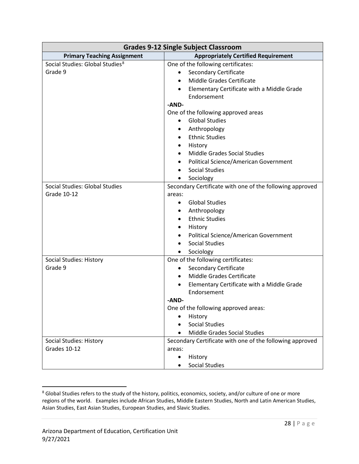| <b>Grades 9-12 Single Subject Classroom</b> |                                                          |  |  |
|---------------------------------------------|----------------------------------------------------------|--|--|
| <b>Primary Teaching Assignment</b>          | <b>Appropriately Certified Requirement</b>               |  |  |
| Social Studies: Global Studies <sup>8</sup> | One of the following certificates:                       |  |  |
| Grade 9                                     | <b>Secondary Certificate</b><br>٠                        |  |  |
|                                             | Middle Grades Certificate                                |  |  |
|                                             | Elementary Certificate with a Middle Grade               |  |  |
|                                             | Endorsement                                              |  |  |
|                                             | -AND-                                                    |  |  |
|                                             | One of the following approved areas                      |  |  |
|                                             | <b>Global Studies</b><br>$\bullet$                       |  |  |
|                                             | Anthropology                                             |  |  |
|                                             | <b>Ethnic Studies</b>                                    |  |  |
|                                             | History                                                  |  |  |
|                                             | <b>Middle Grades Social Studies</b>                      |  |  |
|                                             | Political Science/American Government<br>٠               |  |  |
|                                             | <b>Social Studies</b>                                    |  |  |
|                                             | Sociology                                                |  |  |
| Social Studies: Global Studies              | Secondary Certificate with one of the following approved |  |  |
| Grade 10-12                                 | areas:                                                   |  |  |
|                                             | <b>Global Studies</b><br>$\bullet$                       |  |  |
|                                             | Anthropology                                             |  |  |
|                                             | <b>Ethnic Studies</b>                                    |  |  |
|                                             | History                                                  |  |  |
|                                             | Political Science/American Government                    |  |  |
|                                             | <b>Social Studies</b>                                    |  |  |
|                                             | Sociology                                                |  |  |
| Social Studies: History                     | One of the following certificates:                       |  |  |
| Grade 9                                     | <b>Secondary Certificate</b><br>$\bullet$                |  |  |
|                                             | Middle Grades Certificate                                |  |  |
|                                             | Elementary Certificate with a Middle Grade               |  |  |
|                                             | Endorsement                                              |  |  |
|                                             | -AND-                                                    |  |  |
|                                             | One of the following approved areas:                     |  |  |
|                                             | History                                                  |  |  |
|                                             | <b>Social Studies</b>                                    |  |  |
|                                             | <b>Middle Grades Social Studies</b>                      |  |  |
| Social Studies: History                     | Secondary Certificate with one of the following approved |  |  |
| Grades 10-12                                | areas:                                                   |  |  |
|                                             | History<br>$\bullet$                                     |  |  |
|                                             | <b>Social Studies</b>                                    |  |  |

<span id="page-27-0"></span><sup>&</sup>lt;sup>8</sup> Global Studies refers to the study of the history, politics, economics, society, and/or culture of one or more regions of the world. Examples include African Studies, Middle Eastern Studies, North and Latin American Studies, Asian Studies, East Asian Studies, European Studies, and Slavic Studies.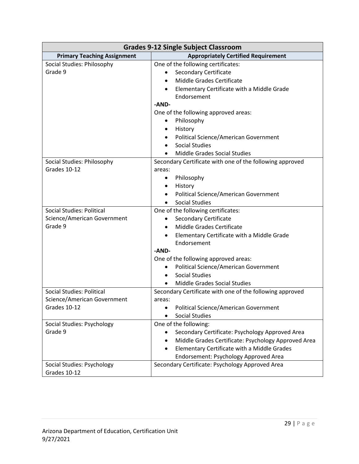| <b>Grades 9-12 Single Subject Classroom</b>       |                                                                                          |  |  |
|---------------------------------------------------|------------------------------------------------------------------------------------------|--|--|
| <b>Primary Teaching Assignment</b>                | <b>Appropriately Certified Requirement</b>                                               |  |  |
| Social Studies: Philosophy                        | One of the following certificates:                                                       |  |  |
| Grade 9                                           | <b>Secondary Certificate</b><br>$\bullet$                                                |  |  |
|                                                   | Middle Grades Certificate                                                                |  |  |
|                                                   | Elementary Certificate with a Middle Grade                                               |  |  |
|                                                   | Endorsement                                                                              |  |  |
|                                                   | -AND-                                                                                    |  |  |
|                                                   | One of the following approved areas:                                                     |  |  |
|                                                   | Philosophy<br>$\bullet$                                                                  |  |  |
|                                                   | History<br>٠                                                                             |  |  |
|                                                   | Political Science/American Government                                                    |  |  |
|                                                   | <b>Social Studies</b>                                                                    |  |  |
|                                                   | <b>Middle Grades Social Studies</b>                                                      |  |  |
| Social Studies: Philosophy                        | Secondary Certificate with one of the following approved                                 |  |  |
| Grades 10-12                                      | areas:                                                                                   |  |  |
|                                                   | Philosophy<br>$\bullet$                                                                  |  |  |
|                                                   | History<br>٠                                                                             |  |  |
|                                                   | <b>Political Science/American Government</b>                                             |  |  |
|                                                   | <b>Social Studies</b>                                                                    |  |  |
| <b>Social Studies: Political</b>                  | One of the following certificates:                                                       |  |  |
| Science/American Government                       | <b>Secondary Certificate</b><br>$\bullet$                                                |  |  |
| Grade 9                                           | Middle Grades Certificate<br>$\bullet$                                                   |  |  |
|                                                   | Elementary Certificate with a Middle Grade                                               |  |  |
|                                                   | Endorsement                                                                              |  |  |
|                                                   | -AND-                                                                                    |  |  |
|                                                   | One of the following approved areas:                                                     |  |  |
|                                                   | <b>Political Science/American Government</b><br>$\bullet$                                |  |  |
|                                                   | <b>Social Studies</b><br>$\bullet$                                                       |  |  |
|                                                   | Middle Grades Social Studies                                                             |  |  |
| <b>Social Studies: Political</b>                  | Secondary Certificate with one of the following approved                                 |  |  |
| Science/American Government                       | areas:                                                                                   |  |  |
| Grades 10-12                                      | <b>Political Science/American Government</b>                                             |  |  |
|                                                   | <b>Social Studies</b>                                                                    |  |  |
| Social Studies: Psychology                        | One of the following:                                                                    |  |  |
| Grade 9                                           | Secondary Certificate: Psychology Approved Area                                          |  |  |
|                                                   | Middle Grades Certificate: Psychology Approved Area<br>$\bullet$                         |  |  |
|                                                   | Elementary Certificate with a Middle Grades<br>$\bullet$                                 |  |  |
|                                                   |                                                                                          |  |  |
|                                                   |                                                                                          |  |  |
|                                                   |                                                                                          |  |  |
| <b>Social Studies: Psychology</b><br>Grades 10-12 | Endorsement: Psychology Approved Area<br>Secondary Certificate: Psychology Approved Area |  |  |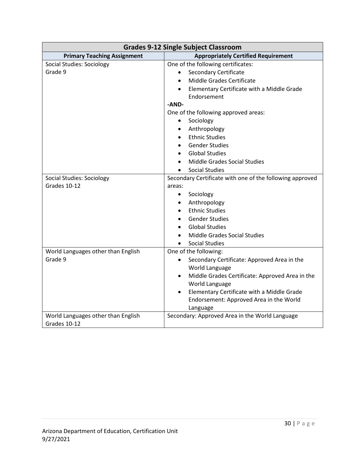| <b>Grades 9-12 Single Subject Classroom</b> |                                                              |  |  |
|---------------------------------------------|--------------------------------------------------------------|--|--|
| <b>Primary Teaching Assignment</b>          | <b>Appropriately Certified Requirement</b>                   |  |  |
| <b>Social Studies: Sociology</b>            | One of the following certificates:                           |  |  |
| Grade 9                                     | <b>Secondary Certificate</b><br>$\bullet$                    |  |  |
|                                             | Middle Grades Certificate                                    |  |  |
|                                             | Elementary Certificate with a Middle Grade                   |  |  |
|                                             | Endorsement                                                  |  |  |
|                                             | -AND-                                                        |  |  |
|                                             | One of the following approved areas:                         |  |  |
|                                             | Sociology<br>$\bullet$                                       |  |  |
|                                             | Anthropology                                                 |  |  |
|                                             | <b>Ethnic Studies</b>                                        |  |  |
|                                             | <b>Gender Studies</b>                                        |  |  |
|                                             | <b>Global Studies</b>                                        |  |  |
|                                             | Middle Grades Social Studies                                 |  |  |
|                                             | <b>Social Studies</b>                                        |  |  |
| <b>Social Studies: Sociology</b>            | Secondary Certificate with one of the following approved     |  |  |
| Grades 10-12                                | areas:                                                       |  |  |
|                                             | Sociology<br>$\bullet$                                       |  |  |
|                                             | Anthropology<br>$\bullet$                                    |  |  |
|                                             | <b>Ethnic Studies</b>                                        |  |  |
|                                             | <b>Gender Studies</b>                                        |  |  |
|                                             | <b>Global Studies</b>                                        |  |  |
|                                             | Middle Grades Social Studies                                 |  |  |
|                                             | <b>Social Studies</b>                                        |  |  |
| World Languages other than English          | One of the following:                                        |  |  |
| Grade 9                                     | Secondary Certificate: Approved Area in the                  |  |  |
|                                             | World Language                                               |  |  |
|                                             | Middle Grades Certificate: Approved Area in the<br>$\bullet$ |  |  |
|                                             | World Language                                               |  |  |
|                                             | Elementary Certificate with a Middle Grade<br>$\bullet$      |  |  |
|                                             | Endorsement: Approved Area in the World                      |  |  |
|                                             | Language                                                     |  |  |
| World Languages other than English          | Secondary: Approved Area in the World Language               |  |  |
| Grades 10-12                                |                                                              |  |  |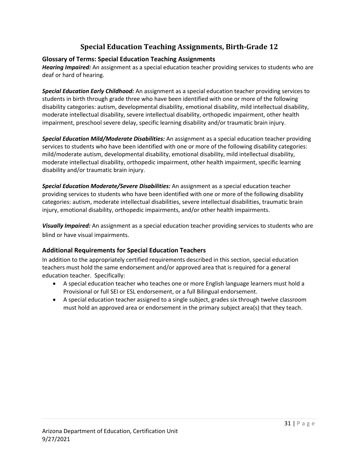#### **Special Education Teaching Assignments, Birth-Grade 12**

#### <span id="page-30-0"></span>**Glossary of Terms: Special Education Teaching Assignments**

*Hearing Impaired:* An assignment as a special education teacher providing services to students who are deaf or hard of hearing.

*Special Education Early Childhood:* An assignment as a special education teacher providing services to students in birth through grade three who have been identified with one or more of the following disability categories: autism, developmental disability, emotional disability, mild intellectual disability, moderate intellectual disability, severe intellectual disability, orthopedic impairment, other health impairment, preschool severe delay, specific learning disability and/or traumatic brain injury.

*Special Education Mild/Moderate Disabilities:* An assignment as a special education teacher providing services to students who have been identified with one or more of the following disability categories: mild/moderate autism, developmental disability, emotional disability, mild intellectual disability, moderate intellectual disability, orthopedic impairment, other health impairment, specific learning disability and/or traumatic brain injury.

*Special Education Moderate/Severe Disabilities:* An assignment as a special education teacher providing services to students who have been identified with one or more of the following disability categories: autism, moderate intellectual disabilities, severe intellectual disabilities, traumatic brain injury, emotional disability, orthopedic impairments, and/or other health impairments.

*Visually Impaired:* An assignment as a special education teacher providing services to students who are blind or have visual impairments.

#### **Additional Requirements for Special Education Teachers**

In addition to the appropriately certified requirements described in this section, special education teachers must hold the same endorsement and/or approved area that is required for a general education teacher. Specifically:

- A special education teacher who teaches one or more English language learners must hold a Provisional or full SEI or ESL endorsement, or a full Bilingual endorsement.
- A special education teacher assigned to a single subject, grades six through twelve classroom must hold an approved area or endorsement in the primary subject area(s) that they teach.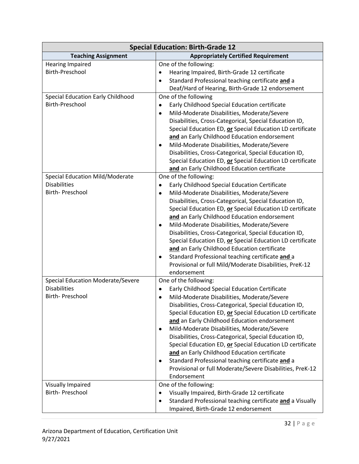| <b>Special Education: Birth-Grade 12</b>                                            |                                                                                                                                                                                                                                                                                                                                                                                                                                                                                                                                                                                                                                                                                |  |
|-------------------------------------------------------------------------------------|--------------------------------------------------------------------------------------------------------------------------------------------------------------------------------------------------------------------------------------------------------------------------------------------------------------------------------------------------------------------------------------------------------------------------------------------------------------------------------------------------------------------------------------------------------------------------------------------------------------------------------------------------------------------------------|--|
| <b>Teaching Assignment</b>                                                          | <b>Appropriately Certified Requirement</b>                                                                                                                                                                                                                                                                                                                                                                                                                                                                                                                                                                                                                                     |  |
| <b>Hearing Impaired</b><br>Birth-Preschool<br>Special Education Early Childhood     | One of the following:<br>Hearing Impaired, Birth-Grade 12 certificate<br>$\bullet$<br>Standard Professional teaching certificate and a<br>Deaf/Hard of Hearing, Birth-Grade 12 endorsement<br>One of the following                                                                                                                                                                                                                                                                                                                                                                                                                                                             |  |
| <b>Birth-Preschool</b>                                                              | Early Childhood Special Education certificate<br>٠<br>Mild-Moderate Disabilities, Moderate/Severe<br>$\bullet$<br>Disabilities, Cross-Categorical, Special Education ID,<br>Special Education ED, or Special Education LD certificate<br>and an Early Childhood Education endorsement<br>Mild-Moderate Disabilities, Moderate/Severe<br>٠<br>Disabilities, Cross-Categorical, Special Education ID,<br>Special Education ED, or Special Education LD certificate<br>and an Early Childhood Education certificate                                                                                                                                                               |  |
| <b>Special Education Mild/Moderate</b><br><b>Disabilities</b><br>Birth- Preschool   | One of the following:<br>Early Childhood Special Education Certificate<br>٠<br>Mild-Moderate Disabilities, Moderate/Severe<br>٠<br>Disabilities, Cross-Categorical, Special Education ID,<br>Special Education ED, or Special Education LD certificate<br>and an Early Childhood Education endorsement<br>Mild-Moderate Disabilities, Moderate/Severe<br>٠<br>Disabilities, Cross-Categorical, Special Education ID,<br>Special Education ED, or Special Education LD certificate<br>and an Early Childhood Education certificate<br>Standard Professional teaching certificate and a<br>Provisional or full Mild/Moderate Disabilities, PreK-12<br>endorsement                |  |
| <b>Special Education Moderate/Severe</b><br><b>Disabilities</b><br>Birth- Preschool | One of the following:<br>Early Childhood Special Education Certificate<br>٠<br>Mild-Moderate Disabilities, Moderate/Severe<br>$\bullet$<br>Disabilities, Cross-Categorical, Special Education ID,<br>Special Education ED, or Special Education LD certificate<br>and an Early Childhood Education endorsement<br>Mild-Moderate Disabilities, Moderate/Severe<br>٠<br>Disabilities, Cross-Categorical, Special Education ID,<br>Special Education ED, or Special Education LD certificate<br>and an Early Childhood Education certificate<br>Standard Professional teaching certificate and a<br>٠<br>Provisional or full Moderate/Severe Disabilities, PreK-12<br>Endorsement |  |
| Visually Impaired<br><b>Birth-Preschool</b>                                         | One of the following:<br>Visually Impaired, Birth-Grade 12 certificate<br>$\bullet$<br>Standard Professional teaching certificate and a Visually<br>$\bullet$<br>Impaired, Birth-Grade 12 endorsement                                                                                                                                                                                                                                                                                                                                                                                                                                                                          |  |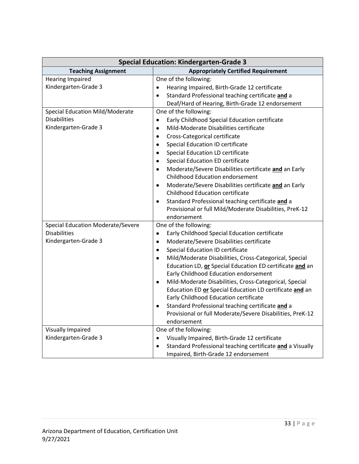| <b>Special Education: Kindergarten-Grade 3</b> |                                                               |  |
|------------------------------------------------|---------------------------------------------------------------|--|
| <b>Teaching Assignment</b>                     | <b>Appropriately Certified Requirement</b>                    |  |
| <b>Hearing Impaired</b>                        | One of the following:                                         |  |
| Kindergarten-Grade 3                           | Hearing Impaired, Birth-Grade 12 certificate<br>$\bullet$     |  |
|                                                | Standard Professional teaching certificate and a<br>$\bullet$ |  |
|                                                | Deaf/Hard of Hearing, Birth-Grade 12 endorsement              |  |
| <b>Special Education Mild/Moderate</b>         | One of the following:                                         |  |
| <b>Disabilities</b>                            | Early Childhood Special Education certificate<br>$\bullet$    |  |
| Kindergarten-Grade 3                           | Mild-Moderate Disabilities certificate<br>$\bullet$           |  |
|                                                | Cross-Categorical certificate<br>$\bullet$                    |  |
|                                                | Special Education ID certificate<br>٠                         |  |
|                                                | Special Education LD certificate                              |  |
|                                                | <b>Special Education ED certificate</b>                       |  |
|                                                | Moderate/Severe Disabilities certificate and an Early         |  |
|                                                | <b>Childhood Education endorsement</b>                        |  |
|                                                | Moderate/Severe Disabilities certificate and an Early         |  |
|                                                | <b>Childhood Education certificate</b>                        |  |
|                                                | Standard Professional teaching certificate and a              |  |
|                                                | Provisional or full Mild/Moderate Disabilities, PreK-12       |  |
|                                                | endorsement                                                   |  |
| <b>Special Education Moderate/Severe</b>       | One of the following:                                         |  |
| <b>Disabilities</b>                            | Early Childhood Special Education certificate<br>٠            |  |
| Kindergarten-Grade 3                           | Moderate/Severe Disabilities certificate                      |  |
|                                                | Special Education ID certificate<br>٠                         |  |
|                                                | Mild/Moderate Disabilities, Cross-Categorical, Special        |  |
|                                                | Education LD, or Special Education ED certificate and an      |  |
|                                                | Early Childhood Education endorsement                         |  |
|                                                | Mild-Moderate Disabilities, Cross-Categorical, Special        |  |
|                                                | Education ED or Special Education LD certificate and an       |  |
|                                                | Early Childhood Education certificate                         |  |
|                                                | Standard Professional teaching certificate and a              |  |
|                                                | Provisional or full Moderate/Severe Disabilities, PreK-12     |  |
|                                                | endorsement                                                   |  |
| <b>Visually Impaired</b>                       | One of the following:                                         |  |
| Kindergarten-Grade 3                           | Visually Impaired, Birth-Grade 12 certificate<br>$\bullet$    |  |
|                                                | Standard Professional teaching certificate and a Visually     |  |
|                                                | Impaired, Birth-Grade 12 endorsement                          |  |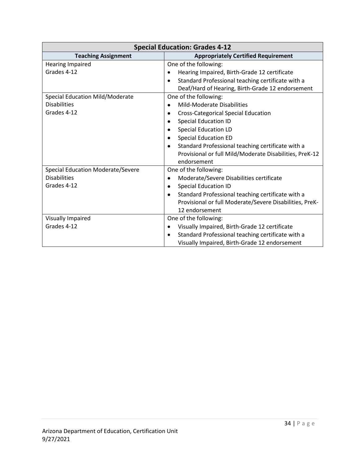| <b>Special Education: Grades 4-12</b>    |                                                                |  |
|------------------------------------------|----------------------------------------------------------------|--|
| <b>Teaching Assignment</b>               | <b>Appropriately Certified Requirement</b>                     |  |
| <b>Hearing Impaired</b>                  | One of the following:                                          |  |
| Grades 4-12                              | Hearing Impaired, Birth-Grade 12 certificate                   |  |
|                                          | Standard Professional teaching certificate with a<br>$\bullet$ |  |
|                                          | Deaf/Hard of Hearing, Birth-Grade 12 endorsement               |  |
| Special Education Mild/Moderate          | One of the following:                                          |  |
| <b>Disabilities</b>                      | <b>Mild-Moderate Disabilities</b>                              |  |
| Grades 4-12                              | <b>Cross-Categorical Special Education</b>                     |  |
|                                          | <b>Special Education ID</b>                                    |  |
|                                          | <b>Special Education LD</b>                                    |  |
|                                          | <b>Special Education ED</b>                                    |  |
|                                          | Standard Professional teaching certificate with a              |  |
|                                          | Provisional or full Mild/Moderate Disabilities, PreK-12        |  |
|                                          | endorsement                                                    |  |
| <b>Special Education Moderate/Severe</b> | One of the following:                                          |  |
| <b>Disabilities</b>                      | Moderate/Severe Disabilities certificate                       |  |
| Grades 4-12                              | <b>Special Education ID</b><br>٠                               |  |
|                                          | Standard Professional teaching certificate with a<br>٠         |  |
|                                          | Provisional or full Moderate/Severe Disabilities, PreK-        |  |
|                                          | 12 endorsement                                                 |  |
| Visually Impaired                        | One of the following:                                          |  |
| Grades 4-12                              | Visually Impaired, Birth-Grade 12 certificate<br>$\bullet$     |  |
|                                          | Standard Professional teaching certificate with a<br>$\bullet$ |  |
|                                          | Visually Impaired, Birth-Grade 12 endorsement                  |  |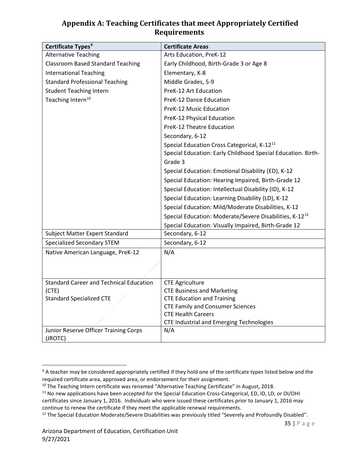#### **Appendix A: Teaching Certificates that meet Appropriately Certified Requirements**

| Certificate Types <sup>9</sup>                 | <b>Certificate Areas</b>                                                                                                |  |
|------------------------------------------------|-------------------------------------------------------------------------------------------------------------------------|--|
| <b>Alternative Teaching</b>                    | Arts Education, PreK-12                                                                                                 |  |
| <b>Classroom Based Standard Teaching</b>       | Early Childhood, Birth-Grade 3 or Age 8                                                                                 |  |
| <b>International Teaching</b>                  | Elementary, K-8                                                                                                         |  |
| <b>Standard Professional Teaching</b>          | Middle Grades, 5-9                                                                                                      |  |
| <b>Student Teaching Intern</b>                 | PreK-12 Art Education                                                                                                   |  |
| Teaching Intern <sup>10</sup>                  | PreK-12 Dance Education                                                                                                 |  |
|                                                | PreK-12 Music Education                                                                                                 |  |
|                                                | PreK-12 Physical Education                                                                                              |  |
|                                                | PreK-12 Theatre Education                                                                                               |  |
|                                                | Secondary, 6-12                                                                                                         |  |
|                                                | Special Education Cross Categorical, K-12 <sup>11</sup><br>Special Education: Early Childhood Special Education. Birth- |  |
|                                                | Grade 3                                                                                                                 |  |
|                                                | Special Education: Emotional Disability (ED), K-12                                                                      |  |
|                                                | Special Education: Hearing Impaired, Birth-Grade 12                                                                     |  |
|                                                | Special Education: Intellectual Disability (ID), K-12                                                                   |  |
|                                                | Special Education: Learning Disability (LD), K-12                                                                       |  |
|                                                | Special Education: Mild/Moderate Disabilities, K-12                                                                     |  |
|                                                | Special Education: Moderate/Severe Disabilities, K-12 <sup>12</sup>                                                     |  |
|                                                | Special Education: Visually Impaired, Birth-Grade 12                                                                    |  |
| Subject Matter Expert Standard                 | Secondary, 6-12                                                                                                         |  |
| <b>Specialized Secondary STEM</b>              | Secondary, 6-12                                                                                                         |  |
| Native American Language, PreK-12              | N/A                                                                                                                     |  |
|                                                |                                                                                                                         |  |
| <b>Standard Career and Technical Education</b> | <b>CTE Agriculture</b>                                                                                                  |  |
| (CTE)                                          | <b>CTE Business and Marketing</b>                                                                                       |  |
| <b>Standard Specialized CTE</b>                | <b>CTE Education and Training</b>                                                                                       |  |
|                                                | <b>CTE Family and Consumer Sciences</b><br><b>CTE Health Careers</b>                                                    |  |
|                                                | <b>CTE Industrial and Emerging Technologies</b>                                                                         |  |
| Junior Reserve Officer Training Corps          | N/A                                                                                                                     |  |
| (JROTC)                                        |                                                                                                                         |  |

<span id="page-34-0"></span><sup>&</sup>lt;sup>9</sup> A teacher may be considered appropriately certified if they hold one of the certificate types listed below and the required certificate area, approved area, or endorsement for their assignment.

<span id="page-34-1"></span><sup>&</sup>lt;sup>10</sup> The Teaching Intern certificate was renamed "Alternative Teaching Certificate" in August, 2018.<br><sup>11</sup> No new applications have been accepted for the Special Education Cross-Categorical, ED, ID, LD, or OI/OHI

<span id="page-34-2"></span>certificates since January 1, 2016. Individuals who were issued these certificates prior to January 1, 2016 may continue to renew the certificate if they meet the applicable renewal requirements.

<span id="page-34-3"></span><sup>&</sup>lt;sup>12</sup> The Special Education Moderate/Severe Disabilities was previously titled "Severely and Profoundly Disabled".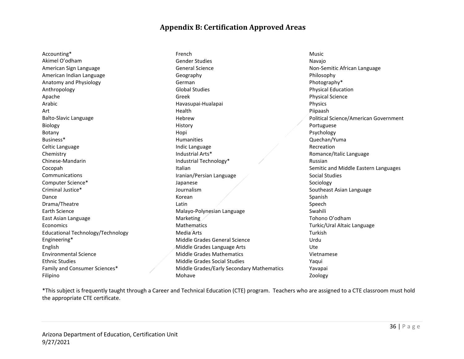#### **Appendix B: Certification Approved Areas**

Accounting\* Akimel O'odham American Sign Language American Indian Language Anatomy and Physiology Anthropology Apache Arabic Art Balto-Slavic Language Biology Botany Business\* Celtic Language Chemistry Chinese-Mandarin Cocopah Communications Computer Science\* Criminal Justice\* Dance Drama/Theatre Earth Science East Asian Language Economics Educational Technology/Technology Engineering\* English Environmental Science Ethnic Studies Family and Consumer Sciences\* Filipino

French Gender Studies General Science Geography German Global Studies Greek Havasupai-Hualapai Health Hebrew History Hopi Humanities Indic Language Industrial Arts\* Industrial Technology\* Italian Iranian/Persian Language Japanese Journalism Korean Latin Malayo-Polynesian Language Marketing **Mathematics** Media Arts Middle Grades General Science Middle Grades Language Arts Middle Grades Mathematics Middle Grades Social Studies Middle Grades/Early Secondary Mathematics Mohave

Music Navajo Non-Semitic African Language Philosophy Photography\* Physical Education Physical Science Physics Piipaash Political Science/American Government Portuguese Psychology Quechan/Yuma Recreation Romance/Italic Language Russian Semitic and Middle Eastern Languages Social Studies Sociology Southeast Asian Language Spanish Speech Swahili Tohono O'odham Turkic/Ural Altaic Language Turkish Urdu Ute Vietnamese Yaqui Yavapai Zoology

\*This subject is frequently taught through a Career and Technical Education (CTE) program. Teachers who are assigned to a CTE classroom must hold the appropriate CTE certificate.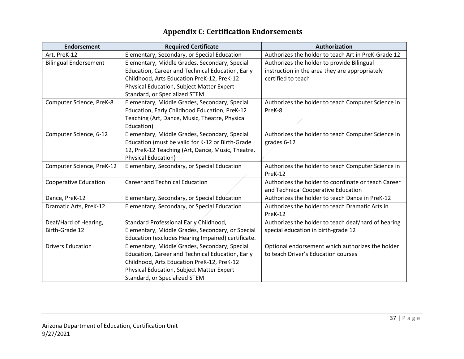| <b>Endorsement</b>                      | <b>Required Certificate</b>                                                                                                                                                                                                          | Authorization                                                                                                      |
|-----------------------------------------|--------------------------------------------------------------------------------------------------------------------------------------------------------------------------------------------------------------------------------------|--------------------------------------------------------------------------------------------------------------------|
| Art, PreK-12                            | Elementary, Secondary, or Special Education                                                                                                                                                                                          | Authorizes the holder to teach Art in PreK-Grade 12                                                                |
| <b>Bilingual Endorsement</b>            | Elementary, Middle Grades, Secondary, Special<br>Education, Career and Technical Education, Early<br>Childhood, Arts Education PreK-12, PreK-12<br><b>Physical Education, Subject Matter Expert</b><br>Standard, or Specialized STEM | Authorizes the holder to provide Bilingual<br>instruction in the area they are appropriately<br>certified to teach |
| Computer Science, PreK-8                | Elementary, Middle Grades, Secondary, Special<br>Education, Early Childhood Education, PreK-12<br>Teaching (Art, Dance, Music, Theatre, Physical<br>Education)                                                                       | Authorizes the holder to teach Computer Science in<br>PreK-8                                                       |
| Computer Science, 6-12                  | Elementary, Middle Grades, Secondary, Special<br>Education (must be valid for K-12 or Birth-Grade<br>12, PreK-12 Teaching (Art, Dance, Music, Theatre,<br><b>Physical Education)</b>                                                 | Authorizes the holder to teach Computer Science in<br>grades 6-12                                                  |
| Computer Science, PreK-12               | Elementary, Secondary, or Special Education                                                                                                                                                                                          | Authorizes the holder to teach Computer Science in<br>PreK-12                                                      |
| <b>Cooperative Education</b>            | <b>Career and Technical Education</b>                                                                                                                                                                                                | Authorizes the holder to coordinate or teach Career<br>and Technical Cooperative Education                         |
| Dance, PreK-12                          | Elementary, Secondary, or Special Education                                                                                                                                                                                          | Authorizes the holder to teach Dance in PreK-12                                                                    |
| Dramatic Arts, PreK-12                  | Elementary, Secondary, or Special Education                                                                                                                                                                                          | Authorizes the holder to teach Dramatic Arts in<br>PreK-12                                                         |
| Deaf/Hard of Hearing,<br>Birth-Grade 12 | Standard Professional Early Childhood,<br>Elementary, Middle Grades, Secondary, or Special<br>Education (excludes Hearing Impaired) certificate.                                                                                     | Authorizes the holder to teach deaf/hard of hearing<br>special education in birth-grade 12                         |
| <b>Drivers Education</b>                | Elementary, Middle Grades, Secondary, Special<br>Education, Career and Technical Education, Early<br>Childhood, Arts Education PreK-12, PreK-12<br><b>Physical Education, Subject Matter Expert</b><br>Standard, or Specialized STEM | Optional endorsement which authorizes the holder<br>to teach Driver's Education courses                            |

# **Appendix C: Certification Endorsements**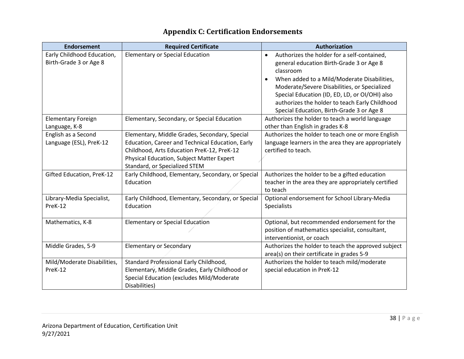| <b>Endorsement</b>                                   | <b>Required Certificate</b>                                                                                                                                                                                                   | <b>Authorization</b>                                                                                                                                                                                                                                                                                                                                                           |
|------------------------------------------------------|-------------------------------------------------------------------------------------------------------------------------------------------------------------------------------------------------------------------------------|--------------------------------------------------------------------------------------------------------------------------------------------------------------------------------------------------------------------------------------------------------------------------------------------------------------------------------------------------------------------------------|
| Early Childhood Education,<br>Birth-Grade 3 or Age 8 | <b>Elementary or Special Education</b>                                                                                                                                                                                        | Authorizes the holder for a self-contained,<br>$\bullet$<br>general education Birth-Grade 3 or Age 8<br>classroom<br>When added to a Mild/Moderate Disabilities,<br>$\bullet$<br>Moderate/Severe Disabilities, or Specialized<br>Special Education (ID, ED, LD, or OI/OHI) also<br>authorizes the holder to teach Early Childhood<br>Special Education, Birth-Grade 3 or Age 8 |
| <b>Elementary Foreign</b><br>Language, K-8           | Elementary, Secondary, or Special Education                                                                                                                                                                                   | Authorizes the holder to teach a world language<br>other than English in grades K-8                                                                                                                                                                                                                                                                                            |
| English as a Second<br>Language (ESL), PreK-12       | Elementary, Middle Grades, Secondary, Special<br>Education, Career and Technical Education, Early<br>Childhood, Arts Education PreK-12, PreK-12<br>Physical Education, Subject Matter Expert<br>Standard, or Specialized STEM | Authorizes the holder to teach one or more English<br>language learners in the area they are appropriately<br>certified to teach.                                                                                                                                                                                                                                              |
| Gifted Education, PreK-12                            | Early Childhood, Elementary, Secondary, or Special<br>Education                                                                                                                                                               | Authorizes the holder to be a gifted education<br>teacher in the area they are appropriately certified<br>to teach                                                                                                                                                                                                                                                             |
| Library-Media Specialist,<br>PreK-12                 | Early Childhood, Elementary, Secondary, or Special<br>Education                                                                                                                                                               | Optional endorsement for School Library-Media<br><b>Specialists</b>                                                                                                                                                                                                                                                                                                            |
| Mathematics, K-8                                     | <b>Elementary or Special Education</b>                                                                                                                                                                                        | Optional, but recommended endorsement for the<br>position of mathematics specialist, consultant,<br>interventionist, or coach                                                                                                                                                                                                                                                  |
| Middle Grades, 5-9                                   | <b>Elementary or Secondary</b>                                                                                                                                                                                                | Authorizes the holder to teach the approved subject<br>area(s) on their certificate in grades 5-9                                                                                                                                                                                                                                                                              |
| Mild/Moderate Disabilities,<br>PreK-12               | Standard Professional Early Childhood,<br>Elementary, Middle Grades, Early Childhood or<br>Special Education (excludes Mild/Moderate<br>Disabilities)                                                                         | Authorizes the holder to teach mild/moderate<br>special education in PreK-12                                                                                                                                                                                                                                                                                                   |

# **Appendix C: Certification Endorsements**